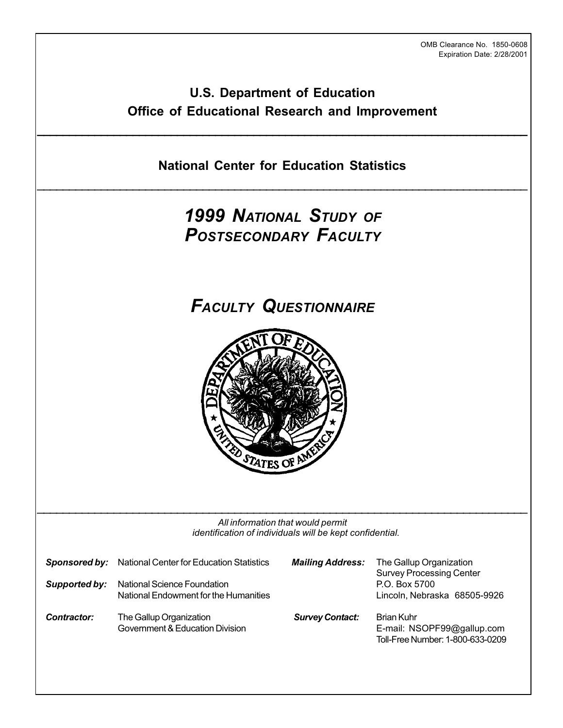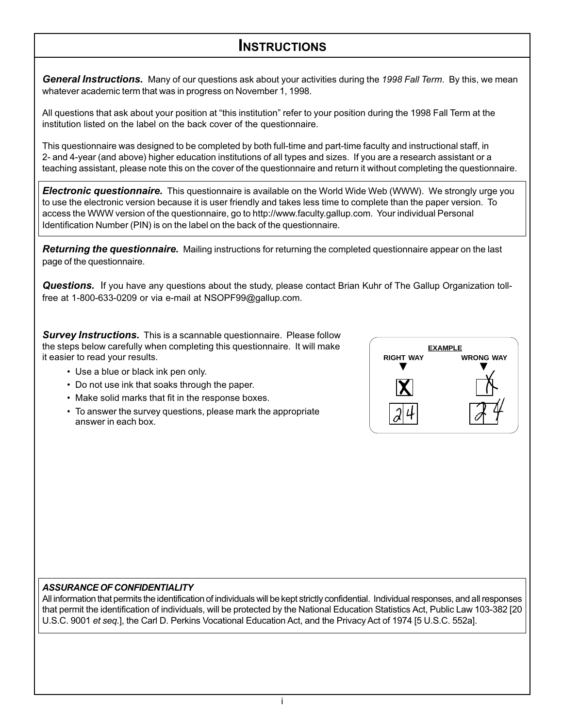# **INSTRUCTIONS**

*General Instructions.* Many of our questions ask about your activities during the 1998 Fall Term. By this, we mean whatever academic term that was in progress on November 1, 1998.

All questions that ask about your position at "this institution" refer to your position during the 1998 Fall Term at the institution listed on the label on the back cover of the questionnaire.

This questionnaire was designed to be completed by both full-time and part-time faculty and instructional staff, in 2- and 4-year (and above) higher education institutions of all types and sizes. If you are a research assistant or a teaching assistant, please note this on the cover of the questionnaire and return it without completing the questionnaire.

*Electronic questionnaire.* This questionnaire is available on the World Wide Web (WWW). We strongly urge you to use the electronic version because it is user friendly and takes less time to complete than the paper version. To access the WWW version of the questionnaire, go to http://www.faculty.gallup.com. Your individual Personal Identification Number (PIN) is on the label on the back of the questionnaire.

*Returning the questionnaire.*Mailing instructions for returning the completed questionnaire appear on the last page of the questionnaire.

*Questions.*If you have any questions about the study, please contact Brian Kuhr of The Gallup Organization tollfree at 1-800-633-0209 or via e-mail at NSOPF99@gallup.com.

**Survey Instructions.** This is a scannable questionnaire. Please follow the steps below carefully when completing this questionnaire. It will make it easier to read your results.

- Use a blue or black ink pen only.
- Do not use ink that soaks through the paper.
- Make solid marks that fit in the response boxes.
- To answer the survey questions, please mark the appropriate answer in each box.



# *ASSURANCE OF CONFIDENTIALITY*

All information that permits the identification of individuals will be kept strictly confidential. Individual responses, and all responses that permit the identification of individuals, will be protected by the National Education Statistics Act, Public Law 103-382 [20 U.S.C. 9001 et seq.], the Carl D. Perkins Vocational Education Act, and the Privacy Act of 1974 [5 U.S.C. 552a].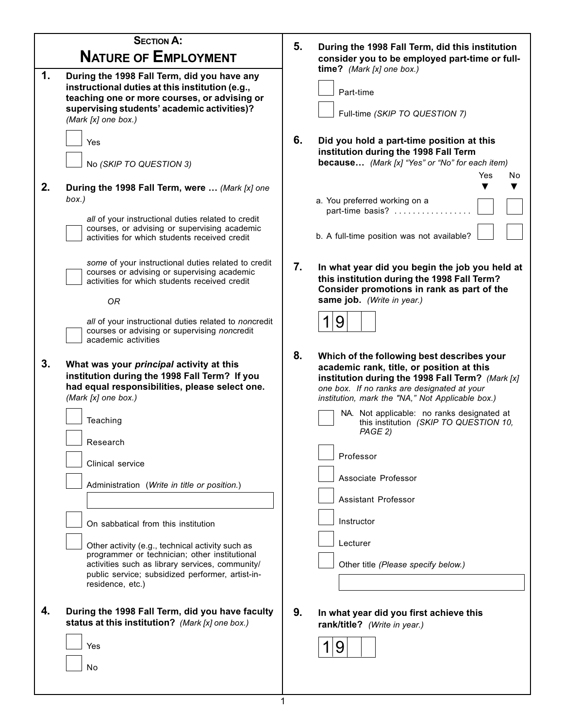| <b>SECTION A:</b><br><b>NATURE OF EMPLOYMENT</b> |                                                                                                                                                                                                                                                                                                                                                                                                                                                                                                                                                                                                                                                                                                                                                                                                                                                                                                                                                 | 5.             | During the 1998 Fall Term, did this institution<br>consider you to be employed part-time or full-                                                                                                                                                                                                                                                                                                                                                                                                                                                                                                                                                                                                                                          |
|--------------------------------------------------|-------------------------------------------------------------------------------------------------------------------------------------------------------------------------------------------------------------------------------------------------------------------------------------------------------------------------------------------------------------------------------------------------------------------------------------------------------------------------------------------------------------------------------------------------------------------------------------------------------------------------------------------------------------------------------------------------------------------------------------------------------------------------------------------------------------------------------------------------------------------------------------------------------------------------------------------------|----------------|--------------------------------------------------------------------------------------------------------------------------------------------------------------------------------------------------------------------------------------------------------------------------------------------------------------------------------------------------------------------------------------------------------------------------------------------------------------------------------------------------------------------------------------------------------------------------------------------------------------------------------------------------------------------------------------------------------------------------------------------|
| 1.                                               | During the 1998 Fall Term, did you have any<br>instructional duties at this institution (e.g.,<br>teaching one or more courses, or advising or<br>supervising students' academic activities)?<br>(Mark [x] one box.)                                                                                                                                                                                                                                                                                                                                                                                                                                                                                                                                                                                                                                                                                                                            |                | time? (Mark [x] one box.)<br>Part-time<br>Full-time (SKIP TO QUESTION 7)                                                                                                                                                                                                                                                                                                                                                                                                                                                                                                                                                                                                                                                                   |
| 2.                                               | Yes<br>No (SKIP TO QUESTION 3)<br>During the 1998 Fall Term, were  (Mark [x] one<br>box.)<br>all of your instructional duties related to credit<br>courses, or advising or supervising academic<br>activities for which students received credit                                                                                                                                                                                                                                                                                                                                                                                                                                                                                                                                                                                                                                                                                                | 6.             | Did you hold a part-time position at this<br>institution during the 1998 Fall Term<br><b>because</b> (Mark [x] "Yes" or "No" for each item)<br>Yes<br>No<br>a. You preferred working on a<br>part-time basis?<br>b. A full-time position was not available?                                                                                                                                                                                                                                                                                                                                                                                                                                                                                |
| 3.<br>4.                                         | some of your instructional duties related to credit<br>courses or advising or supervising academic<br>activities for which students received credit<br><b>OR</b><br>all of your instructional duties related to noncredit<br>courses or advising or supervising noncredit<br>academic activities<br>What was your principal activity at this<br>institution during the 1998 Fall Term? If you<br>had equal responsibilities, please select one.<br>(Mark [x] one box.)<br>Teaching<br>Research<br>Clinical service<br>Administration (Write in title or position.)<br>On sabbatical from this institution<br>Other activity (e.g., technical activity such as<br>programmer or technician; other institutional<br>activities such as library services, community/<br>public service; subsidized performer, artist-in-<br>residence, etc.)<br>During the 1998 Fall Term, did you have faculty<br>status at this institution? (Mark [x] one box.) | 7.<br>8.<br>9. | In what year did you begin the job you held at<br>this institution during the 1998 Fall Term?<br>Consider promotions in rank as part of the<br>same job. (Write in year.)<br>9<br>Which of the following best describes your<br>academic rank, title, or position at this<br>institution during the 1998 Fall Term? (Mark [x]<br>one box. If no ranks are designated at your<br>institution, mark the "NA," Not Applicable box.)<br>NA. Not applicable: no ranks designated at<br>this institution (SKIP TO QUESTION 10,<br>PAGE 2)<br>Professor<br>Associate Professor<br>Assistant Professor<br>Instructor<br>Lecturer<br>Other title (Please specify below.)<br>In what year did you first achieve this<br>rank/title? (Write in year.) |
|                                                  | Yes<br>No                                                                                                                                                                                                                                                                                                                                                                                                                                                                                                                                                                                                                                                                                                                                                                                                                                                                                                                                       | 1              | 9                                                                                                                                                                                                                                                                                                                                                                                                                                                                                                                                                                                                                                                                                                                                          |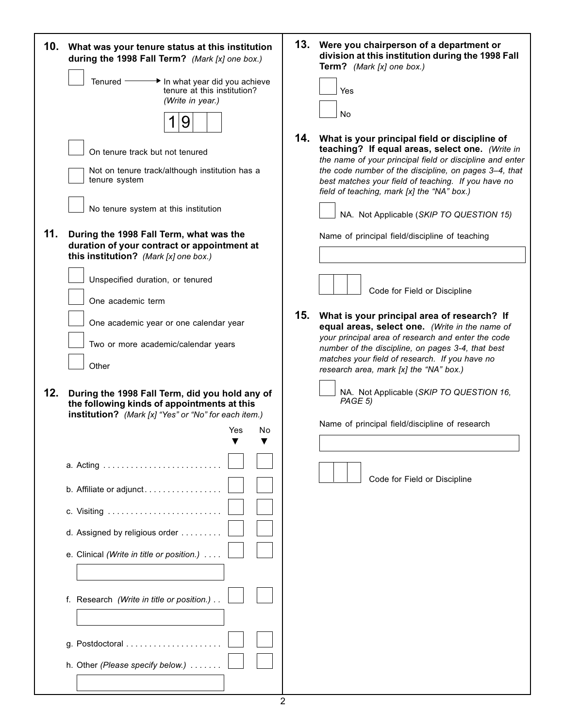|     | 10. What was your tenure status at this institution<br>during the 1998 Fall Term? (Mark [x] one box.)<br>Tenured -<br>On tenure track but not tenured<br>tenure system<br>No tenure system at this institution | In what year did you achieve<br>tenure at this institution?<br>(Write in year.)<br>9<br>Not on tenure track/although institution has a |         | 14. | 13. Were you chairperson of a department or<br>division at this institution during the 1998 Fall<br>Term? (Mark [x] one box.)<br>Yes<br><b>No</b><br>What is your principal field or discipline of<br>teaching? If equal areas, select one. (Write in<br>the name of your principal field or discipline and enter<br>the code number of the discipline, on pages 3-4, that<br>best matches your field of teaching. If you have no<br>field of teaching, mark [x] the "NA" box.)<br>NA. Not Applicable (SKIP TO QUESTION 15) |
|-----|----------------------------------------------------------------------------------------------------------------------------------------------------------------------------------------------------------------|----------------------------------------------------------------------------------------------------------------------------------------|---------|-----|-----------------------------------------------------------------------------------------------------------------------------------------------------------------------------------------------------------------------------------------------------------------------------------------------------------------------------------------------------------------------------------------------------------------------------------------------------------------------------------------------------------------------------|
| 11. | During the 1998 Fall Term, what was the<br>duration of your contract or appointment at<br>this institution? (Mark [x] one box.)                                                                                |                                                                                                                                        |         |     | Name of principal field/discipline of teaching                                                                                                                                                                                                                                                                                                                                                                                                                                                                              |
|     | Unspecified duration, or tenured<br>One academic term<br>Other                                                                                                                                                 | One academic year or one calendar year<br>Two or more academic/calendar years                                                          |         | 15. | Code for Field or Discipline<br>What is your principal area of research? If<br>equal areas, select one. (Write in the name of<br>your principal area of research and enter the code<br>number of the discipline, on pages 3-4, that best<br>matches your field of research. If you have no                                                                                                                                                                                                                                  |
| 12. | During the 1998 Fall Term, did you hold any of                                                                                                                                                                 |                                                                                                                                        |         |     | research area, mark [x] the "NA" box.)<br>NA. Not Applicable (SKIP TO QUESTION 16,<br>PAGE 5)                                                                                                                                                                                                                                                                                                                                                                                                                               |
|     | the following kinds of appointments at this<br>institution? (Mark [x] "Yes" or "No" for each item.)                                                                                                            | Yes<br>▼                                                                                                                               | No<br>▼ |     | Name of principal field/discipline of research                                                                                                                                                                                                                                                                                                                                                                                                                                                                              |
|     |                                                                                                                                                                                                                |                                                                                                                                        |         |     | Code for Field or Discipline                                                                                                                                                                                                                                                                                                                                                                                                                                                                                                |
|     | b. Affiliate or adjunct                                                                                                                                                                                        |                                                                                                                                        |         |     |                                                                                                                                                                                                                                                                                                                                                                                                                                                                                                                             |
|     | d. Assigned by religious order                                                                                                                                                                                 |                                                                                                                                        |         |     |                                                                                                                                                                                                                                                                                                                                                                                                                                                                                                                             |
|     | e. Clinical (Write in title or position.)                                                                                                                                                                      |                                                                                                                                        |         |     |                                                                                                                                                                                                                                                                                                                                                                                                                                                                                                                             |
|     | f. Research (Write in title or position.).                                                                                                                                                                     |                                                                                                                                        |         |     |                                                                                                                                                                                                                                                                                                                                                                                                                                                                                                                             |
|     |                                                                                                                                                                                                                |                                                                                                                                        |         |     |                                                                                                                                                                                                                                                                                                                                                                                                                                                                                                                             |
|     | h. Other (Please specify below.)                                                                                                                                                                               |                                                                                                                                        |         |     |                                                                                                                                                                                                                                                                                                                                                                                                                                                                                                                             |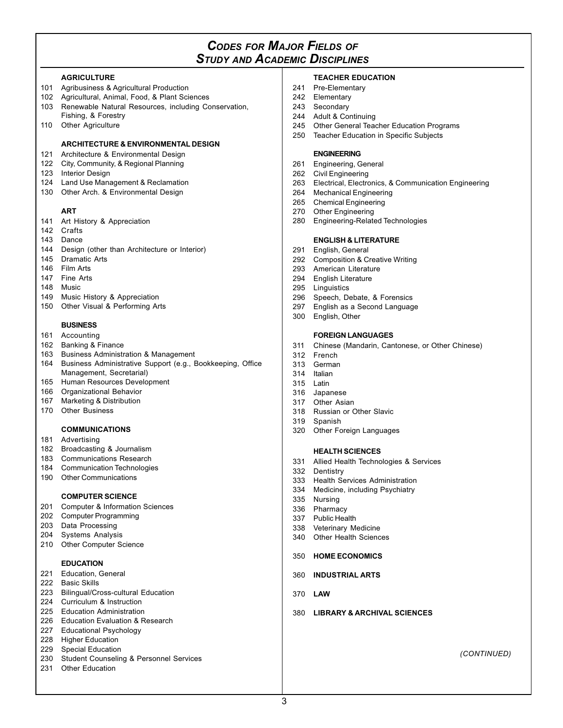# *CODES FOR MAJOR FIELDS OF STUDY AND ACADEMIC DISCIPLINES*

#### **AGRICULTURE**

- 101 Agribusiness & Agricultural Production
- 102 Agricultural, Animal, Food, & Plant Sciences
- 103 Renewable Natural Resources, including Conservation, Fishing, & Forestry
- 110 Other Agriculture

### **ARCHITECTURE & ENVIRONMENTAL DESIGN**

- 121 Architecture & Environmental Design
- 122 City, Community, & Regional Planning
- 123 Interior Design
- 124 Land Use Management & Reclamation
- 130 Other Arch. & Environmental Design

#### **ART**

- 141 Art History & Appreciation
- 142 Crafts
- 143 Dance
- 144 Design (other than Architecture or Interior)
- 145 Dramatic Arts
- 146 Film Arts
- 147 Fine Arts
- 148 Music
- 149 Music History & Appreciation
- 150 Other Visual & Performing Arts

# **BUSINESS**

- 161 Accounting
- 162 Banking & Finance
- 163 Business Administration & Management
- 164 Business Administrative Support (e.g., Bookkeeping, Office Management, Secretarial)
- 165 Human Resources Development
- 166 Organizational Behavior
- 167 Marketing & Distribution
- 170 Other Business

# **COMMUNICATIONS**

- 181 Advertising
- 182 Broadcasting & Journalism
- 183 Communications Research
- 184 Communication Technologies
- 190 Other Communications

# **COMPUTER SCIENCE**

- 201 Computer & Information Sciences
- 202 Computer Programming
- 203 Data Processing
- 204 Systems Analysis
- 210 Other Computer Science

# **EDUCATION**

- 221 Education, General
- 222 Basic Skills
- 223 Bilingual/Cross-cultural Education
- 224 Curriculum & Instruction
- 225 Education Administration
- 226 Education Evaluation & Research
- 227 Educational Psychology
- 228 Higher Education
- 229 Special Education 230 Student Counseling & Personnel Services
- 231 Other Education

# **TEACHER EDUCATION**

- 241 Pre-Elementary
- 242 Elementary
- 243 Secondary
- 244 Adult & Continuing
- 245 Other General Teacher Education Programs
- 250 Teacher Education in Specific Subjects

# **ENGINEERING**

- 261 Engineering, General
- 262 Civil Engineering
- 263 Electrical, Electronics, & Communication Engineering
- **Mechanical Engineering**
- 265 Chemical Engineering
- 270 Other Engineering
- 280 Engineering-Related Technologies

#### **ENGLISH & LITERATURE**

- 291 English, General
- 292 Composition & Creative Writing
- 293 American Literature
- 294 English Literature
- 295 Linguistics<br>296 Speech. De
- Speech, Debate, & Forensics
- 297 English as a Second Language
- 300 English, Other

#### **FOREIGN LANGUAGES**

- 311 Chinese (Mandarin, Cantonese, or Other Chinese)
- 312 French<br>313 German
- German
- 314 Italian
- 315 Latin
- 316 Japanese 317 Other Asian
- 318 Russian or Other Slavic
- 319 Spanish
- 320 Other Foreign Languages

# **HEALTH SCIENCES**

- 331 Allied Health Technologies & Services
- 332 Dentistry
- 333 Health Services Administration
- 334 Medicine, including Psychiatry

380 **LIBRARY & ARCHIVAL SCIENCES**

(CONTINUED)

335 Nursing

370 **LAW**

3

- 336 Pharmacy
- 337 Public Health
- 338 Veterinary Medicine 340 Other Health Sciences
- 350 **HOME ECONOMICS**
- 360 **INDUSTRIAL ARTS**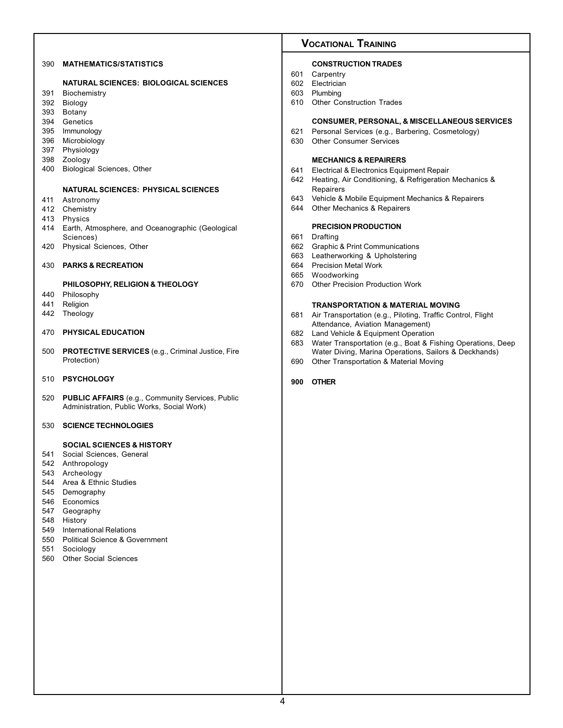# 390 **MATHEMATICS/STATISTICS**

#### **NATURAL SCIENCES: BIOLOGICAL SCIENCES**

- 391 Biochemistry
- 392 Biology
- 393 Botany
- 394 Genetics
- 395 Immunology
- 396 Microbiology
- 397 Physiology
- 398 Zoology
- 400 Biological Sciences, Other

#### **NATURAL SCIENCES: PHYSICAL SCIENCES**

- 411 Astronomy
- 412 Chemistry
- 413 Physics
- 414 Earth, Atmosphere, and Oceanographic (Geological Sciences)
- 420 Physical Sciences, Other
- 430 **PARKS & RECREATION**

## **PHILOSOPHY, RELIGION & THEOLOGY**

- 440 Philosophy
- 441 Religion
- 442 Theology

## 470 **PHYSICAL EDUCATION**

- 500 **PROTECTIVE SERVICES** (e.g., Criminal Justice, Fire Protection)
- 510 **PSYCHOLOGY**
- 520 **PUBLIC AFFAIRS** (e.g., Community Services, Public Administration, Public Works, Social Work)
- 530 **SCIENCE TECHNOLOGIES**

# **SOCIAL SCIENCES & HISTORY**

- 541 Social Sciences, General
- 542 Anthropology
- 543 Archeology
- 544 Area & Ethnic Studies
- 545 Demography
- 546 Economics
- 547 Geography
- 548 History
- 549 International Relations
- 550 Political Science & Government
- 551 Sociology
- 560 Other Social Sciences

# **VOCATIONAL TRAINING**

# **CONSTRUCTION TRADES**

- 601 Carpentry
- 602 Electrician
- 603 Plumbing
- 610 Other Construction Trades

#### **CONSUMER, PERSONAL, & MISCELLANEOUS SERVICES**

- 621 Personal Services (e.g., Barbering, Cosmetology)<br>630 Other Consumer Services
- **Other Consumer Services**

#### **MECHANICS & REPAIRERS**

- 641 Electrical & Electronics Equipment Repair
- 642 Heating, Air Conditioning, & Refrigeration Mechanics & Repairers
- 643 Vehicle & Mobile Equipment Mechanics & Repairers
- 644 Other Mechanics & Repairers

# **PRECISION PRODUCTION**

- 661 Drafting
- 662 Graphic & Print Communications
- 663 Leatherworking & Upholstering
- 664 Precision Metal Work
- 665 Woodworking
- 670 Other Precision Production Work

#### **TRANSPORTATION & MATERIAL MOVING**

- 681 Air Transportation (e.g., Piloting, Traffic Control, Flight Attendance, Aviation Management)
- 682 Land Vehicle & Equipment Operation<br>683 Water Transportation (e.g., Boat & Fi
- Water Transportation (e.g., Boat & Fishing Operations, Deep Water Diving, Marina Operations, Sailors & Deckhands)
- 690 Other Transportation & Material Moving

#### **900 OTHER**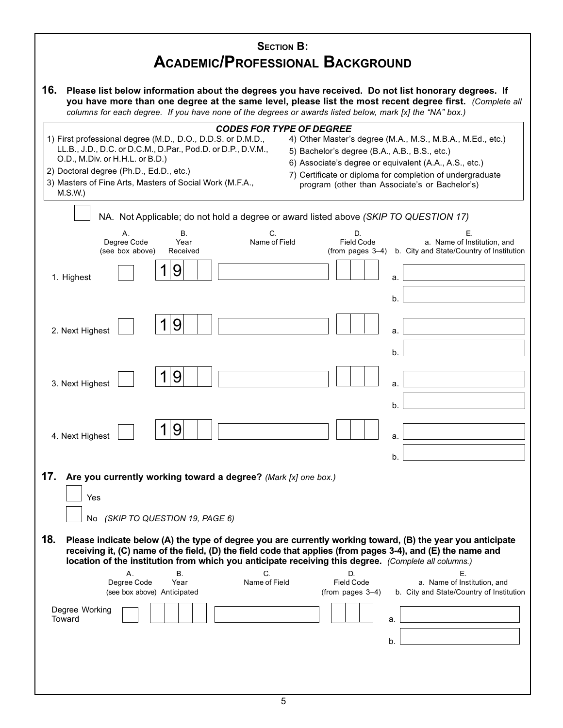| <b>SECTION B:</b><br><b>ACADEMIC/PROFESSIONAL BACKGROUND</b>                                                                                                                                                                                                                                                                                                                                                                                                                                                                                                                                                |  |  |  |  |  |
|-------------------------------------------------------------------------------------------------------------------------------------------------------------------------------------------------------------------------------------------------------------------------------------------------------------------------------------------------------------------------------------------------------------------------------------------------------------------------------------------------------------------------------------------------------------------------------------------------------------|--|--|--|--|--|
| 16.<br>Please list below information about the degrees you have received. Do not list honorary degrees. If<br>you have more than one degree at the same level, please list the most recent degree first. (Complete all<br>columns for each degree. If you have none of the degrees or awards listed below, mark [x] the "NA" box.)                                                                                                                                                                                                                                                                          |  |  |  |  |  |
| <b>CODES FOR TYPE OF DEGREE</b><br>1) First professional degree (M.D., D.O., D.D.S. or D.M.D.,<br>4) Other Master's degree (M.A., M.S., M.B.A., M.Ed., etc.)<br>LL.B., J.D., D.C. or D.C.M., D.Par., Pod.D. or D.P., D.V.M.,<br>5) Bachelor's degree (B.A., A.B., B.S., etc.)<br>O.D., M.Div. or H.H.L. or B.D.)<br>6) Associate's degree or equivalent (A.A., A.S., etc.)<br>2) Doctoral degree (Ph.D., Ed.D., etc.)<br>7) Certificate or diploma for completion of undergraduate<br>3) Masters of Fine Arts, Masters of Social Work (M.F.A.,<br>program (other than Associate's or Bachelor's)<br>M.S.W.) |  |  |  |  |  |
| NA. Not Applicable; do not hold a degree or award listed above (SKIP TO QUESTION 17)                                                                                                                                                                                                                                                                                                                                                                                                                                                                                                                        |  |  |  |  |  |
| C.<br>D.<br>Е.<br>В.<br>Α.<br>Degree Code<br>Name of Field<br><b>Field Code</b><br>a. Name of Institution, and<br>Year<br>(see box above)<br>(from pages 3-4)<br>b. City and State/Country of Institution<br>Received                                                                                                                                                                                                                                                                                                                                                                                       |  |  |  |  |  |
| 9<br>1. Highest<br>a.                                                                                                                                                                                                                                                                                                                                                                                                                                                                                                                                                                                       |  |  |  |  |  |
| b.                                                                                                                                                                                                                                                                                                                                                                                                                                                                                                                                                                                                          |  |  |  |  |  |
| 9<br>2. Next Highest<br>a.                                                                                                                                                                                                                                                                                                                                                                                                                                                                                                                                                                                  |  |  |  |  |  |
| b.                                                                                                                                                                                                                                                                                                                                                                                                                                                                                                                                                                                                          |  |  |  |  |  |
| 9<br>3. Next Highest<br>a.                                                                                                                                                                                                                                                                                                                                                                                                                                                                                                                                                                                  |  |  |  |  |  |
| b.                                                                                                                                                                                                                                                                                                                                                                                                                                                                                                                                                                                                          |  |  |  |  |  |
| 9<br>4. Next Highest<br>a.                                                                                                                                                                                                                                                                                                                                                                                                                                                                                                                                                                                  |  |  |  |  |  |
| b.                                                                                                                                                                                                                                                                                                                                                                                                                                                                                                                                                                                                          |  |  |  |  |  |
| 17.<br>Are you currently working toward a degree? (Mark [x] one box.)<br>Yes<br>No (SKIP TO QUESTION 19, PAGE 6)                                                                                                                                                                                                                                                                                                                                                                                                                                                                                            |  |  |  |  |  |
| 18.<br>Please indicate below (A) the type of degree you are currently working toward, (B) the year you anticipate<br>receiving it, (C) name of the field, (D) the field code that applies (from pages 3-4), and (E) the name and<br>location of the institution from which you anticipate receiving this degree. (Complete all columns.)                                                                                                                                                                                                                                                                    |  |  |  |  |  |
| Ε.<br>Β.<br>C.<br>Α.<br>D.<br>Degree Code<br>Name of Field<br><b>Field Code</b><br>a. Name of Institution, and<br>Year<br>b. City and State/Country of Institution<br>(see box above) Anticipated<br>(from pages 3-4)                                                                                                                                                                                                                                                                                                                                                                                       |  |  |  |  |  |
| Degree Working<br>Toward<br>а.                                                                                                                                                                                                                                                                                                                                                                                                                                                                                                                                                                              |  |  |  |  |  |
| b.                                                                                                                                                                                                                                                                                                                                                                                                                                                                                                                                                                                                          |  |  |  |  |  |
|                                                                                                                                                                                                                                                                                                                                                                                                                                                                                                                                                                                                             |  |  |  |  |  |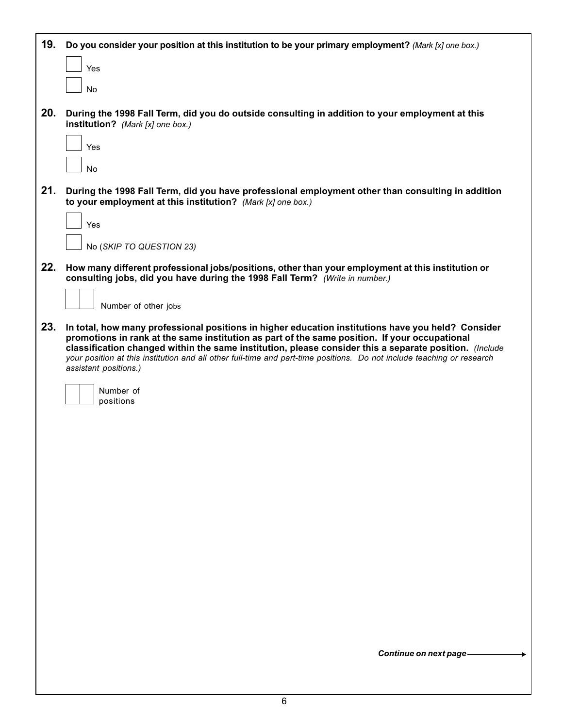| 19. | Do you consider your position at this institution to be your primary employment? (Mark [x] one box.)                                                                                                                                                                                                                                                                                                                                                             |
|-----|------------------------------------------------------------------------------------------------------------------------------------------------------------------------------------------------------------------------------------------------------------------------------------------------------------------------------------------------------------------------------------------------------------------------------------------------------------------|
|     | Yes                                                                                                                                                                                                                                                                                                                                                                                                                                                              |
|     | No                                                                                                                                                                                                                                                                                                                                                                                                                                                               |
| 20. | During the 1998 Fall Term, did you do outside consulting in addition to your employment at this<br>institution? (Mark [x] one box.)                                                                                                                                                                                                                                                                                                                              |
|     | Yes                                                                                                                                                                                                                                                                                                                                                                                                                                                              |
|     | No                                                                                                                                                                                                                                                                                                                                                                                                                                                               |
| 21. | During the 1998 Fall Term, did you have professional employment other than consulting in addition<br>to your employment at this institution? (Mark [x] one box.)                                                                                                                                                                                                                                                                                                 |
|     | Yes                                                                                                                                                                                                                                                                                                                                                                                                                                                              |
|     | No (SKIP TO QUESTION 23)                                                                                                                                                                                                                                                                                                                                                                                                                                         |
| 22. | How many different professional jobs/positions, other than your employment at this institution or<br>consulting jobs, did you have during the 1998 Fall Term? (Write in number.)                                                                                                                                                                                                                                                                                 |
|     | Number of other jobs                                                                                                                                                                                                                                                                                                                                                                                                                                             |
| 23. | In total, how many professional positions in higher education institutions have you held? Consider<br>promotions in rank at the same institution as part of the same position. If your occupational<br>classification changed within the same institution, please consider this a separate position. (Include<br>your position at this institution and all other full-time and part-time positions. Do not include teaching or research<br>assistant positions.) |
|     | Number of<br>positions                                                                                                                                                                                                                                                                                                                                                                                                                                           |
|     |                                                                                                                                                                                                                                                                                                                                                                                                                                                                  |
|     |                                                                                                                                                                                                                                                                                                                                                                                                                                                                  |
|     |                                                                                                                                                                                                                                                                                                                                                                                                                                                                  |
|     |                                                                                                                                                                                                                                                                                                                                                                                                                                                                  |
|     |                                                                                                                                                                                                                                                                                                                                                                                                                                                                  |
|     |                                                                                                                                                                                                                                                                                                                                                                                                                                                                  |
|     |                                                                                                                                                                                                                                                                                                                                                                                                                                                                  |
|     |                                                                                                                                                                                                                                                                                                                                                                                                                                                                  |
|     |                                                                                                                                                                                                                                                                                                                                                                                                                                                                  |
|     |                                                                                                                                                                                                                                                                                                                                                                                                                                                                  |
|     | Continue on next page-                                                                                                                                                                                                                                                                                                                                                                                                                                           |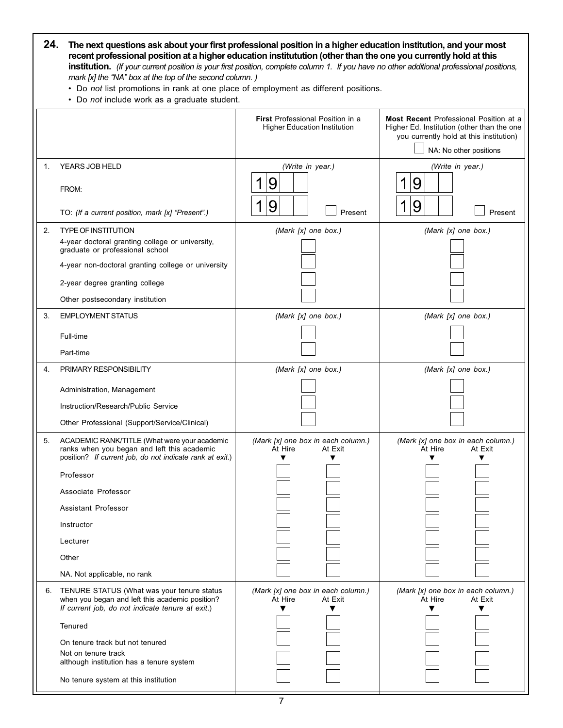| 24. The next questions ask about your first professional position in a higher education institution, and your most                               |
|--------------------------------------------------------------------------------------------------------------------------------------------------|
| recent professional position at a higher education institutution (other than the one you currently hold at this                                  |
| <b>institution.</b> (If your current position is your first position, complete column 1. If you have no other additional professional positions, |
| mark [x] the "NA" box at the top of the second column.)                                                                                          |

• Do not list promotions in rank at one place of employment as different positions.

• Do not include work as a graduate student.

|    |                                                                                                                                                         | <b>First Professional Position in a</b><br><b>Higher Education Institution</b> | <b>Most Recent</b> Professional Position at a<br>Higher Ed. Institution (other than the one<br>you currently hold at this institution)<br>NA: No other positions |  |  |
|----|---------------------------------------------------------------------------------------------------------------------------------------------------------|--------------------------------------------------------------------------------|------------------------------------------------------------------------------------------------------------------------------------------------------------------|--|--|
| 1. | YEARS JOB HELD                                                                                                                                          | (Write in year.)<br>9                                                          | (Write in year.)<br>9                                                                                                                                            |  |  |
|    | FROM:<br>TO: (If a current position, mark [x] "Present".)                                                                                               | 9<br>Present                                                                   | 9<br>Present                                                                                                                                                     |  |  |
| 2. | <b>TYPE OF INSTITUTION</b>                                                                                                                              |                                                                                |                                                                                                                                                                  |  |  |
|    | 4-year doctoral granting college or university,<br>graduate or professional school                                                                      | (Mark [x] one box.)                                                            | (Mark [x] one box.)                                                                                                                                              |  |  |
|    | 4-year non-doctoral granting college or university                                                                                                      |                                                                                |                                                                                                                                                                  |  |  |
|    | 2-year degree granting college                                                                                                                          |                                                                                |                                                                                                                                                                  |  |  |
|    | Other postsecondary institution                                                                                                                         |                                                                                |                                                                                                                                                                  |  |  |
| 3. | <b>EMPLOYMENT STATUS</b>                                                                                                                                | (Mark [x] one box.)                                                            | (Mark [x] one box.)                                                                                                                                              |  |  |
|    | Full-time                                                                                                                                               |                                                                                |                                                                                                                                                                  |  |  |
|    | Part-time                                                                                                                                               |                                                                                |                                                                                                                                                                  |  |  |
| 4. | PRIMARY RESPONSIBILITY                                                                                                                                  | (Mark [x] one box.)                                                            | (Mark [x] one box.)                                                                                                                                              |  |  |
|    | Administration, Management                                                                                                                              |                                                                                |                                                                                                                                                                  |  |  |
|    | Instruction/Research/Public Service                                                                                                                     |                                                                                |                                                                                                                                                                  |  |  |
|    | Other Professional (Support/Service/Clinical)                                                                                                           |                                                                                |                                                                                                                                                                  |  |  |
| 5. | ACADEMIC RANK/TITLE (What were your academic<br>ranks when you began and left this academic<br>position? If current job, do not indicate rank at exit.) | (Mark [x] one box in each column.)<br>At Hire<br>At Exit                       | (Mark [x] one box in each column.)<br>At Hire<br>At Exit                                                                                                         |  |  |
|    | Professor                                                                                                                                               |                                                                                |                                                                                                                                                                  |  |  |
|    | Associate Professor                                                                                                                                     |                                                                                |                                                                                                                                                                  |  |  |
|    | <b>Assistant Professor</b>                                                                                                                              |                                                                                |                                                                                                                                                                  |  |  |
|    | Instructor                                                                                                                                              |                                                                                |                                                                                                                                                                  |  |  |
|    | Lecturer                                                                                                                                                |                                                                                |                                                                                                                                                                  |  |  |
|    | Other                                                                                                                                                   |                                                                                |                                                                                                                                                                  |  |  |
|    | NA. Not applicable, no rank                                                                                                                             |                                                                                |                                                                                                                                                                  |  |  |
| 6. | TENURE STATUS (What was your tenure status<br>when you began and left this academic position?<br>If current job, do not indicate tenure at exit.)       | (Mark [x] one box in each column.)<br>At Hire<br>At Exit<br>▼<br>▼             | (Mark [x] one box in each column.)<br>At Hire<br>At Exit<br>▼<br>▼                                                                                               |  |  |
|    | Tenured                                                                                                                                                 |                                                                                |                                                                                                                                                                  |  |  |
|    | On tenure track but not tenured                                                                                                                         |                                                                                |                                                                                                                                                                  |  |  |
|    | Not on tenure track<br>although institution has a tenure system                                                                                         |                                                                                |                                                                                                                                                                  |  |  |
|    | No tenure system at this institution                                                                                                                    |                                                                                |                                                                                                                                                                  |  |  |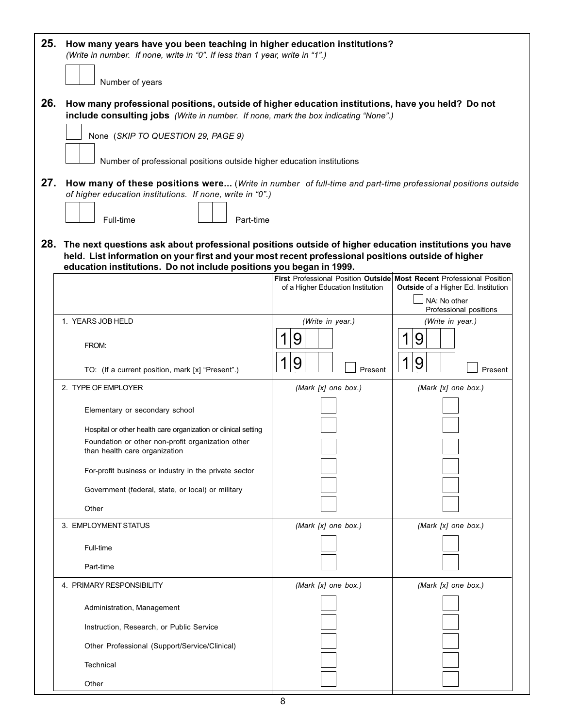| 25. | How many years have you been teaching in higher education institutions?<br>(Write in number. If none, write in "0". If less than 1 year, write in "1".)                                                                                                                                |                                   |                                                                                                              |  |  |  |
|-----|----------------------------------------------------------------------------------------------------------------------------------------------------------------------------------------------------------------------------------------------------------------------------------------|-----------------------------------|--------------------------------------------------------------------------------------------------------------|--|--|--|
|     | Number of years                                                                                                                                                                                                                                                                        |                                   |                                                                                                              |  |  |  |
| 26. | How many professional positions, outside of higher education institutions, have you held? Do not<br>include consulting jobs (Write in number. If none, mark the box indicating "None".)<br>None (SKIP TO QUESTION 29, PAGE 9)                                                          |                                   |                                                                                                              |  |  |  |
|     | Number of professional positions outside higher education institutions                                                                                                                                                                                                                 |                                   |                                                                                                              |  |  |  |
| 27. | How many of these positions were (Write in number of full-time and part-time professional positions outside<br>of higher education institutions. If none, write in "0".)<br>Full-time<br>Part-time                                                                                     |                                   |                                                                                                              |  |  |  |
|     | 28. The next questions ask about professional positions outside of higher education institutions you have<br>held. List information on your first and your most recent professional positions outside of higher<br>education institutions. Do not include positions you began in 1999. |                                   |                                                                                                              |  |  |  |
|     |                                                                                                                                                                                                                                                                                        | of a Higher Education Institution | First Professional Position Outside Most Recent Professional Position<br>Outside of a Higher Ed. Institution |  |  |  |
|     |                                                                                                                                                                                                                                                                                        |                                   | NA: No other<br>Professional positions                                                                       |  |  |  |
|     | 1. YEARS JOB HELD                                                                                                                                                                                                                                                                      | (Write in year.)                  | (Write in year.)                                                                                             |  |  |  |
|     | FROM:                                                                                                                                                                                                                                                                                  | 9                                 | 9                                                                                                            |  |  |  |
|     | TO: (If a current position, mark [x] "Present".)                                                                                                                                                                                                                                       | 9<br>Present                      | 9<br>1<br>Present                                                                                            |  |  |  |
|     | 2. TYPE OF EMPLOYER                                                                                                                                                                                                                                                                    | (Mark [x] one box.)               | (Mark [x] one box.)                                                                                          |  |  |  |
|     | Elementary or secondary school                                                                                                                                                                                                                                                         |                                   |                                                                                                              |  |  |  |
|     | Hospital or other health care organization or clinical setting                                                                                                                                                                                                                         |                                   |                                                                                                              |  |  |  |
|     | Foundation or other non-profit organization other<br>than health care organization                                                                                                                                                                                                     |                                   |                                                                                                              |  |  |  |
|     | For-profit business or industry in the private sector                                                                                                                                                                                                                                  |                                   |                                                                                                              |  |  |  |
|     | Government (federal, state, or local) or military                                                                                                                                                                                                                                      |                                   |                                                                                                              |  |  |  |
|     | Other                                                                                                                                                                                                                                                                                  |                                   |                                                                                                              |  |  |  |
|     | 3. EMPLOYMENT STATUS                                                                                                                                                                                                                                                                   | (Mark [x] one box.)               | (Mark $[x]$ one box.)                                                                                        |  |  |  |
|     | Full-time                                                                                                                                                                                                                                                                              |                                   |                                                                                                              |  |  |  |
|     | Part-time                                                                                                                                                                                                                                                                              |                                   |                                                                                                              |  |  |  |
|     | 4. PRIMARY RESPONSIBILITY                                                                                                                                                                                                                                                              | (Mark [x] one box.)               | (Mark [x] one box.)                                                                                          |  |  |  |
|     | Administration, Management                                                                                                                                                                                                                                                             |                                   |                                                                                                              |  |  |  |
|     | Instruction, Research, or Public Service                                                                                                                                                                                                                                               |                                   |                                                                                                              |  |  |  |
|     | Other Professional (Support/Service/Clinical)                                                                                                                                                                                                                                          |                                   |                                                                                                              |  |  |  |
|     | Technical                                                                                                                                                                                                                                                                              |                                   |                                                                                                              |  |  |  |
|     | Other                                                                                                                                                                                                                                                                                  |                                   |                                                                                                              |  |  |  |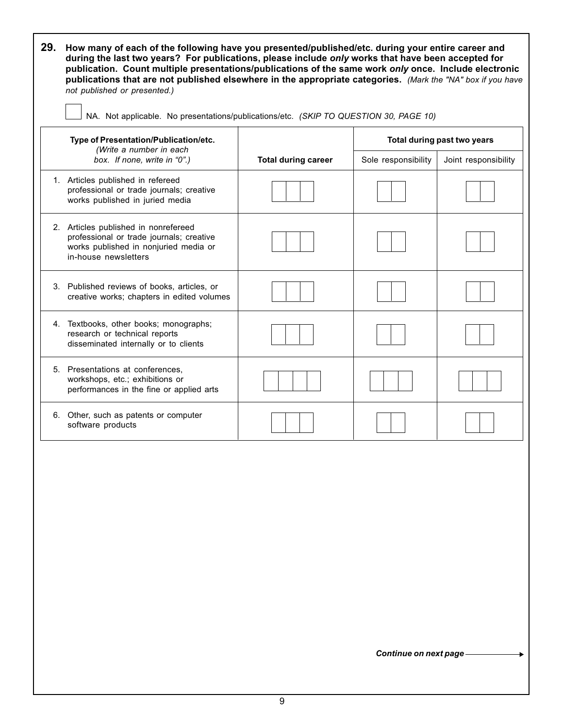| NA. Not applicable. No presentations/publications/etc. (SKIP TO QUESTION 30, PAGE 10)                                                             |                            |                     |                      |  |  |  |
|---------------------------------------------------------------------------------------------------------------------------------------------------|----------------------------|---------------------|----------------------|--|--|--|
| Type of Presentation/Publication/etc.<br>Total during past two years                                                                              |                            |                     |                      |  |  |  |
| (Write a number in each<br>box. If none, write in "0".)                                                                                           | <b>Total during career</b> | Sole responsibility | Joint responsibility |  |  |  |
| 1. Articles published in refereed<br>professional or trade journals; creative<br>works published in juried media                                  |                            |                     |                      |  |  |  |
| 2. Articles published in nonrefereed<br>professional or trade journals; creative<br>works published in nonjuried media or<br>in-house newsletters |                            |                     |                      |  |  |  |
| 3. Published reviews of books, articles, or<br>creative works; chapters in edited volumes                                                         |                            |                     |                      |  |  |  |
| 4. Textbooks, other books; monographs;<br>research or technical reports<br>disseminated internally or to clients                                  |                            |                     |                      |  |  |  |
| 5. Presentations at conferences,<br>workshops, etc.; exhibitions or<br>performances in the fine or applied arts                                   |                            |                     |                      |  |  |  |
| 6. Other, such as patents or computer<br>software products                                                                                        |                            |                     |                      |  |  |  |

 $\Gamma$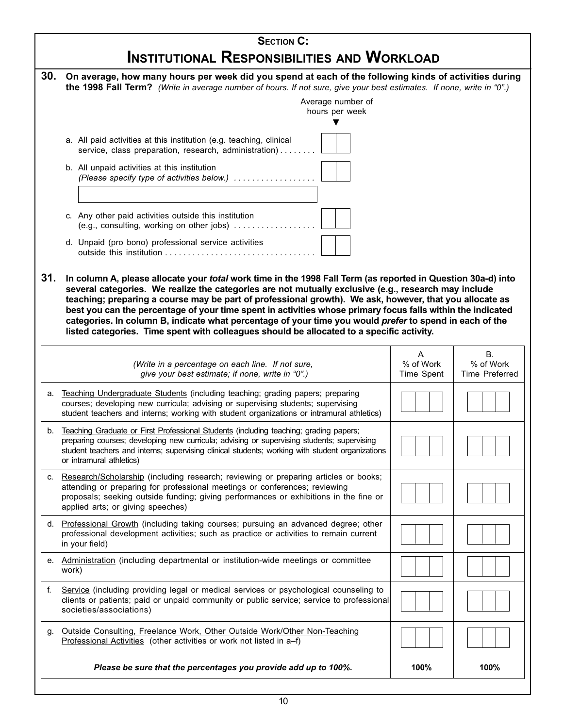|     | <b>SECTION C:</b>                                                                                                                                                                                                              |                |                        |  |  |  |
|-----|--------------------------------------------------------------------------------------------------------------------------------------------------------------------------------------------------------------------------------|----------------|------------------------|--|--|--|
|     | INSTITUTIONAL RESPONSIBILITIES AND WORKLOAD                                                                                                                                                                                    |                |                        |  |  |  |
| 30. | On average, how many hours per week did you spend at each of the following kinds of activities during<br>the 1998 Fall Term? (Write in average number of hours. If not sure, give your best estimates. If none, write in "0".) |                |                        |  |  |  |
|     | Average number of                                                                                                                                                                                                              |                |                        |  |  |  |
|     | hours per week                                                                                                                                                                                                                 |                |                        |  |  |  |
|     |                                                                                                                                                                                                                                |                |                        |  |  |  |
|     | a. All paid activities at this institution (e.g. teaching, clinical<br>service, class preparation, research, administration)                                                                                                   |                |                        |  |  |  |
|     | b. All unpaid activities at this institution<br>(Please specify type of activities below.)                                                                                                                                     |                |                        |  |  |  |
|     |                                                                                                                                                                                                                                |                |                        |  |  |  |
|     |                                                                                                                                                                                                                                |                |                        |  |  |  |
|     | c. Any other paid activities outside this institution<br>(e.g., consulting, working on other jobs) $\dots$                                                                                                                     |                |                        |  |  |  |
|     | d. Unpaid (pro bono) professional service activities                                                                                                                                                                           |                |                        |  |  |  |
|     |                                                                                                                                                                                                                                |                |                        |  |  |  |
| 31. | In column A, please allocate your total work time in the 1998 Fall Term (as reported in Question 30a-d) into                                                                                                                   |                |                        |  |  |  |
|     | several categories. We realize the categories are not mutually exclusive (e.g., research may include<br>teaching; preparing a course may be part of professional growth). We ask, however, that you allocate as                |                |                        |  |  |  |
|     | best you can the percentage of your time spent in activities whose primary focus falls within the indicated                                                                                                                    |                |                        |  |  |  |
|     | categories. In column B, indicate what percentage of your time you would prefer to spend in each of the<br>listed categories. Time spent with colleagues should be allocated to a specific activity.                           |                |                        |  |  |  |
|     |                                                                                                                                                                                                                                |                |                        |  |  |  |
|     | (Write in a percentage on each line. If not sure,                                                                                                                                                                              | A<br>% of Work | <b>B.</b><br>% of Work |  |  |  |
|     | give your best estimate; if none, write in "0".)                                                                                                                                                                               | Time Spent     | <b>Time Preferred</b>  |  |  |  |
| а.  | Teaching Undergraduate Students (including teaching; grading papers; preparing                                                                                                                                                 |                |                        |  |  |  |
|     | courses; developing new curricula; advising or supervising students; supervising<br>student teachers and interns; working with student organizations or intramural athletics)                                                  |                |                        |  |  |  |
| b.  | Teaching Graduate or First Professional Students (including teaching; grading papers;                                                                                                                                          |                |                        |  |  |  |
|     | preparing courses; developing new curricula; advising or supervising students; supervising<br>student teachers and interns; supervising clinical students; working with student organizations                                  |                |                        |  |  |  |
|     | or intramural athletics)                                                                                                                                                                                                       |                |                        |  |  |  |
| C.  | Research/Scholarship (including research; reviewing or preparing articles or books;                                                                                                                                            |                |                        |  |  |  |
|     | attending or preparing for professional meetings or conferences; reviewing<br>proposals; seeking outside funding; giving performances or exhibitions in the fine or                                                            |                |                        |  |  |  |
|     | applied arts; or giving speeches)                                                                                                                                                                                              |                |                        |  |  |  |
|     | d. Professional Growth (including taking courses; pursuing an advanced degree; other<br>professional development activities; such as practice or activities to remain current                                                  |                |                        |  |  |  |
|     | in your field)                                                                                                                                                                                                                 |                |                        |  |  |  |
|     | e. Administration (including departmental or institution-wide meetings or committee<br>work)                                                                                                                                   |                |                        |  |  |  |
| f.  | Service (including providing legal or medical services or psychological counseling to                                                                                                                                          |                |                        |  |  |  |
|     | clients or patients; paid or unpaid community or public service; service to professional<br>societies/associations)                                                                                                            |                |                        |  |  |  |
|     |                                                                                                                                                                                                                                |                |                        |  |  |  |
| g.  | Outside Consulting, Freelance Work, Other Outside Work/Other Non-Teaching<br>Professional Activities (other activities or work not listed in a-f)                                                                              |                |                        |  |  |  |
|     | Please be sure that the percentages you provide add up to 100%.                                                                                                                                                                | 100%           | 100%                   |  |  |  |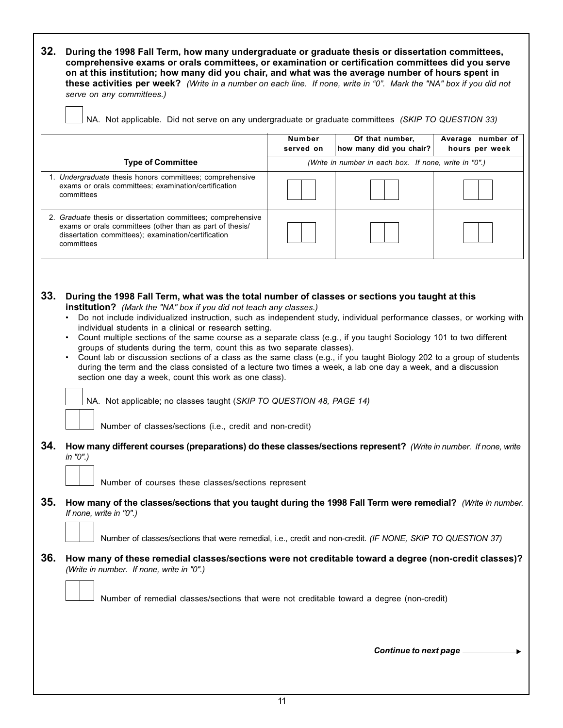**32. During the 1998 Fall Term, how many undergraduate or graduate thesis or dissertation committees, comprehensive exams or orals committees, or examination or certification committees did you serve on at this institution; how many did you chair, and what was the average number of hours spent in these activities per week?** (Write in a number on each line. If none, write in "0". Mark the "NA" box if you did not serve on any committees.)

NA. Not applicable. Did not serve on any undergraduate or graduate committees (SKIP TO QUESTION 33)

|                                                                                                                                                                                               | <b>Number</b><br>served on | Of that number.<br>how many did you chair?            | Average number of<br>hours per week |  |  |
|-----------------------------------------------------------------------------------------------------------------------------------------------------------------------------------------------|----------------------------|-------------------------------------------------------|-------------------------------------|--|--|
| <b>Type of Committee</b>                                                                                                                                                                      |                            | (Write in number in each box. If none, write in "0".) |                                     |  |  |
| 1. Undergraduate thesis honors committees; comprehensive<br>exams or orals committees; examination/certification<br>committees                                                                |                            |                                                       |                                     |  |  |
| 2. Graduate thesis or dissertation committees; comprehensive<br>exams or orals committees (other than as part of thesis/<br>dissertation committees); examination/certification<br>committees |                            |                                                       |                                     |  |  |

- **33. During the 1998 Fall Term, what was the total number of classes or sections you taught at this institution?** (Mark the "NA" box if you did not teach any classes.)
	- Do not include individualized instruction, such as independent study, individual performance classes, or working with individual students in a clinical or research setting.
	- Count multiple sections of the same course as a separate class (e.g., if you taught Sociology 101 to two different groups of students during the term, count this as two separate classes).
	- Count lab or discussion sections of a class as the same class (e.g., if you taught Biology 202 to a group of students during the term and the class consisted of a lecture two times a week, a lab one day a week, and a discussion section one day a week, count this work as one class).

NA. Not applicable; no classes taught (SKIP TO QUESTION 48, PAGE 14)

Number of classes/sections (i.e., credit and non-credit)

**34. How many different courses (preparations) do these classes/sections represent?** (Write in number. If none, write in "0".)

Number of courses these classes/sections represent

**35. How many of the classes/sections that you taught during the 1998 Fall Term were remedial?** (Write in number. If none, write in "0".)

Number of classes/sections that were remedial, i.e., credit and non-credit. (IF NONE, SKIP TO QUESTION 37)

**36. How many of these remedial classes/sections were not creditable toward a degree (non-credit classes)?** (Write in number. If none, write in "0".)

Number of remedial classes/sections that were not creditable toward a degree (non-credit)

*Continue to next page*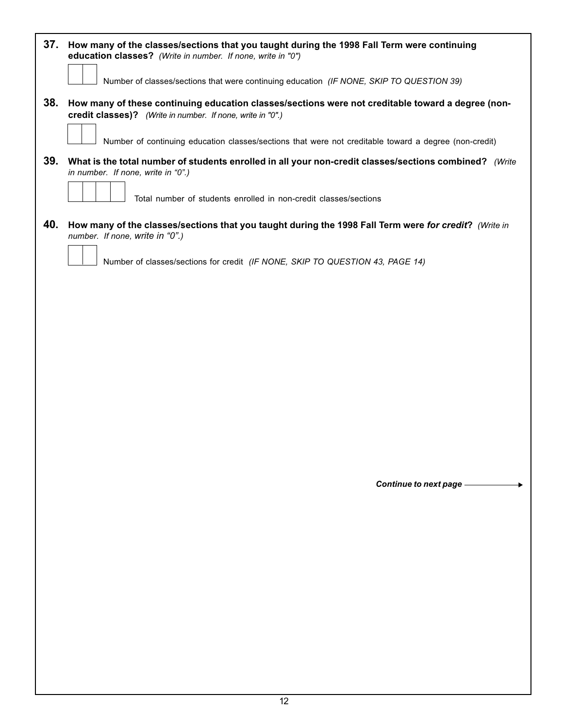| 37.<br>How many of the classes/sections that you taught during the 1998 Fall Term were continuing<br>education classes? (Write in number. If none, write in "0") |
|------------------------------------------------------------------------------------------------------------------------------------------------------------------|
| Number of classes/sections that were continuing education (IF NONE, SKIP TO QUESTION 39)                                                                         |
| How many of these continuing education classes/sections were not creditable toward a degree (non-<br>credit classes)? (Write in number. If none, write in "0".)  |
| Number of continuing education classes/sections that were not creditable toward a degree (non-credit)                                                            |
| What is the total number of students enrolled in all your non-credit classes/sections combined? (Write<br>in number. If none, write in "0".)                     |
| Total number of students enrolled in non-credit classes/sections                                                                                                 |
| How many of the classes/sections that you taught during the 1998 Fall Term were for credit? (Write in<br>number. If none, write in "0".)                         |
| Number of classes/sections for credit (IF NONE, SKIP TO QUESTION 43, PAGE 14)                                                                                    |
|                                                                                                                                                                  |

*Continue to next page*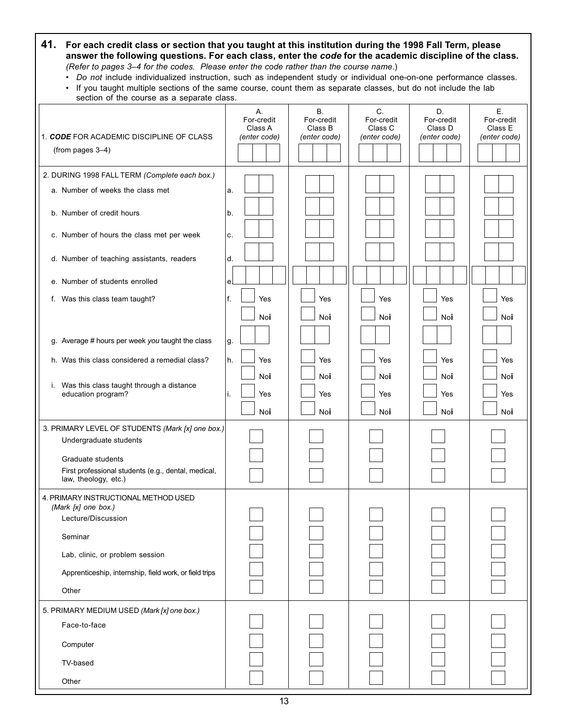# **41. For each credit class or section that you taught at this institution during the 1998 Fall Term, please answer the following questions. For each class, enter the** *code* **for the academic discipline of the class***.* (Refer to pages 3–4 for the codes. Please enter the code rather than the course name.)

• Do not include individualized instruction, such as independent study or individual one-on-one performance classes.

| • If you taught multiple sections of the same course, count them as separate classes, but do not include the lab |  |  |  |
|------------------------------------------------------------------------------------------------------------------|--|--|--|
| section of the course as a separate class.                                                                       |  |  |  |

| 1. CODE FOR ACADEMIC DISCIPLINE OF CLASS<br>(from pages 3-4)                                                                                                                                                                                                                                                                                                                                                                                            | Α.<br>For-credit<br>Class A<br>(enter code)                                           | <b>B.</b><br>For-credit<br>Class B<br>(enter code) | C.<br>For-credit<br>Class C<br>(enter code) | D.<br>For-credit<br>Class D<br>(enter code) | Ε.<br>For-credit<br>Class E<br>(enter code) |
|---------------------------------------------------------------------------------------------------------------------------------------------------------------------------------------------------------------------------------------------------------------------------------------------------------------------------------------------------------------------------------------------------------------------------------------------------------|---------------------------------------------------------------------------------------|----------------------------------------------------|---------------------------------------------|---------------------------------------------|---------------------------------------------|
| 2. DURING 1998 FALL TERM (Complete each box.)<br>a. Number of weeks the class met<br>b. Number of credit hours<br>c. Number of hours the class met per week<br>d. Number of teaching assistants, readers<br>e. Number of students enrolled<br>f. Was this class team taught?<br>g. Average # hours per week you taught the class<br>h. Was this class considered a remedial class?<br>i. Was this class taught through a distance<br>education program? | a.<br>b.<br>c.<br>d.<br>e.<br>f.<br>Yes<br>Noi<br>g.<br>h.<br>Yes<br>Noi<br>Yes<br>i. | Yes<br>Noi<br>Yes<br>Noi<br>Yes                    | Yes<br>Noi<br>Yes<br>Noi<br>Yes             | Yes<br>Noi<br>Yes<br>Noi<br>Yes             | Yes<br>Noi<br>Yes<br>Noi<br>Yes             |
| 3. PRIMARY LEVEL OF STUDENTS (Mark [x] one box.)<br>Undergraduate students<br>Graduate students<br>First professional students (e.g., dental, medical,<br>law, theology, etc.)                                                                                                                                                                                                                                                                          | Noi                                                                                   | Noi                                                | Noi                                         | Noi                                         | Noi                                         |
| 4. PRIMARY INSTRUCTIONAL METHOD USED<br>(Mark [x] one box.)<br>Lecture/Discussion<br>Seminar<br>Lab, clinic, or problem session<br>Apprenticeship, internship, field work, or field trips<br>Other                                                                                                                                                                                                                                                      |                                                                                       |                                                    |                                             |                                             |                                             |
| 5. PRIMARY MEDIUM USED (Mark [x] one box.)<br>Face-to-face<br>Computer<br>TV-based<br>Other                                                                                                                                                                                                                                                                                                                                                             |                                                                                       |                                                    |                                             |                                             |                                             |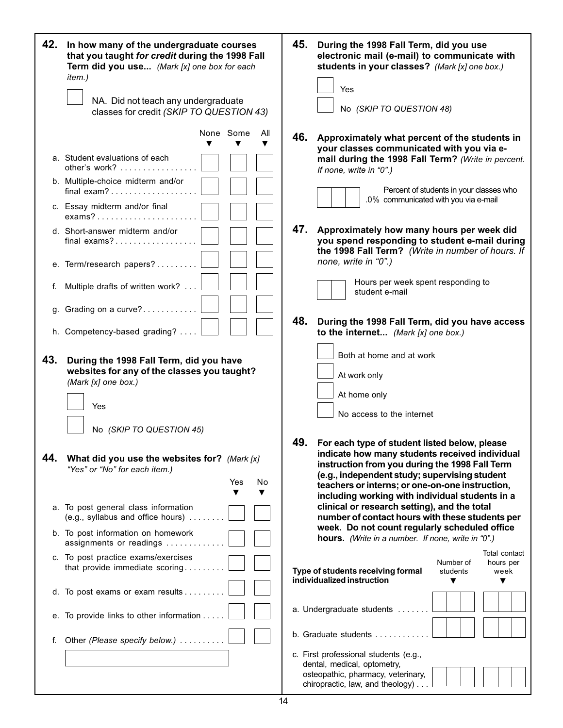| 42. | In how many of the undergraduate courses<br>that you taught for credit during the 1998 Fall<br>Term did you use (Mark [x] one box for each<br>item.) | 45. | During the 1998 Fall Term, did you use<br>electronic mail (e-mail) to communicate with<br>students in your classes? (Mark [x] one box.)<br>Yes                                                                                                                                                           |
|-----|------------------------------------------------------------------------------------------------------------------------------------------------------|-----|----------------------------------------------------------------------------------------------------------------------------------------------------------------------------------------------------------------------------------------------------------------------------------------------------------|
|     | NA. Did not teach any undergraduate<br>classes for credit (SKIP TO QUESTION 43)                                                                      |     | No (SKIP TO QUESTION 48)                                                                                                                                                                                                                                                                                 |
|     | None Some<br>All<br>▼<br>a. Student evaluations of each                                                                                              | 46. | Approximately what percent of the students in<br>your classes communicated with you via e-<br>mail during the 1998 Fall Term? (Write in percent.                                                                                                                                                         |
|     | other's work? $\ldots$ ,<br>b. Multiple-choice midterm and/or<br>final exam?                                                                         |     | If none, write in "0".)<br>Percent of students in your classes who                                                                                                                                                                                                                                       |
|     | c. Essay midterm and/or final<br>$exams? \ldots \ldots \ldots \ldots \ldots$                                                                         |     | .0% communicated with you via e-mail                                                                                                                                                                                                                                                                     |
|     | d. Short-answer midterm and/or<br>final exams?                                                                                                       | 47. | Approximately how many hours per week did<br>you spend responding to student e-mail during<br>the 1998 Fall Term? (Write in number of hours. If                                                                                                                                                          |
|     | e. Term/research papers?                                                                                                                             |     | none, write in "0".)                                                                                                                                                                                                                                                                                     |
| f.  | Multiple drafts of written work?                                                                                                                     |     | Hours per week spent responding to<br>student e-mail                                                                                                                                                                                                                                                     |
| g.  | Grading on a curve?                                                                                                                                  | 48. | During the 1998 Fall Term, did you have access                                                                                                                                                                                                                                                           |
|     | h. Competency-based grading?                                                                                                                         |     | to the internet (Mark [x] one box.)                                                                                                                                                                                                                                                                      |
| 43. | During the 1998 Fall Term, did you have<br>websites for any of the classes you taught?<br>(Mark [x] one box.)                                        |     | Both at home and at work<br>At work only                                                                                                                                                                                                                                                                 |
|     | Yes                                                                                                                                                  |     | At home only<br>No access to the internet                                                                                                                                                                                                                                                                |
|     | No (SKIP TO QUESTION 45)                                                                                                                             |     |                                                                                                                                                                                                                                                                                                          |
| 44. | What did you use the websites for? (Mark [x]<br>"Yes" or "No" for each item.)<br>Yes<br>No<br>▼                                                      | 49. | For each type of student listed below, please<br>indicate how many students received individual<br>instruction from you during the 1998 Fall Term<br>(e.g., independent study; supervising student<br>teachers or interns; or one-on-one instruction,<br>including working with individual students in a |
|     | a. To post general class information<br>(e.g., syllabus and office hours).                                                                           |     | clinical or research setting), and the total<br>number of contact hours with these students per                                                                                                                                                                                                          |
|     | b. To post information on homework<br>assignments or readings                                                                                        |     | week. Do not count regularly scheduled office<br>hours. (Write in a number. If none, write in "0".)                                                                                                                                                                                                      |
|     | c. To post practice exams/exercises<br>that provide immediate scoring                                                                                |     | Total contact<br>Number of<br>hours per<br>Type of students receiving formal<br>students<br>week<br>individualized instruction<br>▼                                                                                                                                                                      |
|     | d. To post exams or exam results                                                                                                                     |     |                                                                                                                                                                                                                                                                                                          |
|     | e. To provide links to other information                                                                                                             |     | a. Undergraduate students                                                                                                                                                                                                                                                                                |
| f.  | Other (Please specify below.)                                                                                                                        |     | b. Graduate students $\ldots$ , ,                                                                                                                                                                                                                                                                        |
|     |                                                                                                                                                      |     | c. First professional students (e.g.,<br>dental, medical, optometry,<br>osteopathic, pharmacy, veterinary,<br>chiropractic, law, and theology)                                                                                                                                                           |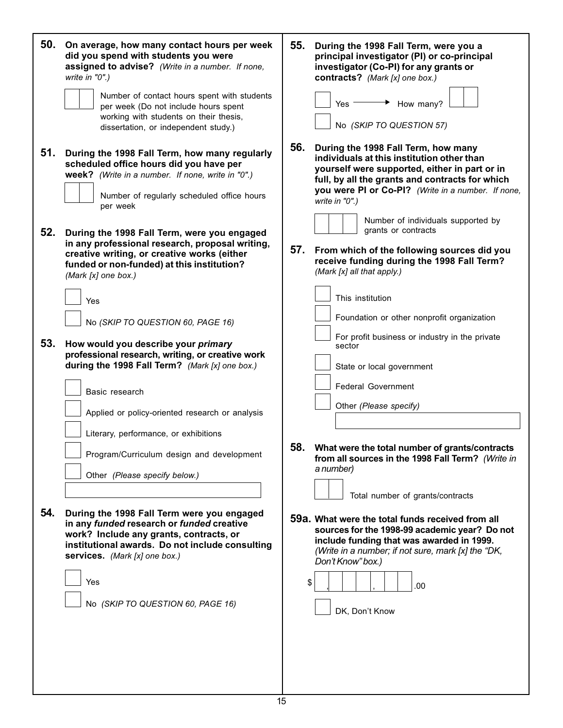| 50.        | On average, how many contact hours per week<br>did you spend with students you were<br>assigned to advise? (Write in a number. If none,<br>write in "0".)<br>Number of contact hours spent with students<br>per week (Do not include hours spent<br>working with students on their thesis,<br>dissertation, or independent study.)                                                                     | 55.<br>During the 1998 Fall Term, were you a<br>principal investigator (PI) or co-principal<br>investigator (Co-PI) for any grants or<br>contracts? (Mark [x] one box.)<br>Yes<br>How many?<br>No (SKIP TO QUESTION 57)                                                                                                                                                                                                               |
|------------|--------------------------------------------------------------------------------------------------------------------------------------------------------------------------------------------------------------------------------------------------------------------------------------------------------------------------------------------------------------------------------------------------------|---------------------------------------------------------------------------------------------------------------------------------------------------------------------------------------------------------------------------------------------------------------------------------------------------------------------------------------------------------------------------------------------------------------------------------------|
| 51.<br>52. | During the 1998 Fall Term, how many regularly<br>scheduled office hours did you have per<br>week? (Write in a number. If none, write in "0".)<br>Number of regularly scheduled office hours<br>per week<br>During the 1998 Fall Term, were you engaged<br>in any professional research, proposal writing,<br>creative writing, or creative works (either<br>funded or non-funded) at this institution? | 56.<br>During the 1998 Fall Term, how many<br>individuals at this institution other than<br>yourself were supported, either in part or in<br>full, by all the grants and contracts for which<br>you were PI or Co-PI? (Write in a number. If none,<br>write in "0".)<br>Number of individuals supported by<br>grants or contracts<br>57.<br>From which of the following sources did you<br>receive funding during the 1998 Fall Term? |
| 53.        | (Mark [x] one box.)<br>Yes<br>No (SKIP TO QUESTION 60, PAGE 16)<br>How would you describe your primary<br>professional research, writing, or creative work<br>during the 1998 Fall Term? (Mark [x] one box.)<br>Basic research                                                                                                                                                                         | (Mark [x] all that apply.)<br>This institution<br>Foundation or other nonprofit organization<br>For profit business or industry in the private<br>sector<br>State or local government<br><b>Federal Government</b>                                                                                                                                                                                                                    |
| 54.        | Applied or policy-oriented research or analysis<br>Literary, performance, or exhibitions<br>Program/Curriculum design and development<br>Other (Please specify below.)<br>During the 1998 Fall Term were you engaged                                                                                                                                                                                   | Other (Please specify)<br>What were the total number of grants/contracts<br>58.<br>from all sources in the 1998 Fall Term? (Write in<br>a number)<br>Total number of grants/contracts<br>59a. What were the total funds received from all                                                                                                                                                                                             |
|            | in any funded research or funded creative<br>work? Include any grants, contracts, or<br>institutional awards. Do not include consulting<br>services. (Mark [x] one box.)<br>Yes<br>No (SKIP TO QUESTION 60, PAGE 16)                                                                                                                                                                                   | sources for the 1998-99 academic year? Do not<br>include funding that was awarded in 1999.<br>(Write in a number; if not sure, mark [x] the "DK,<br>Don't Know" box.)<br>\$<br>.00<br>DK, Don't Know                                                                                                                                                                                                                                  |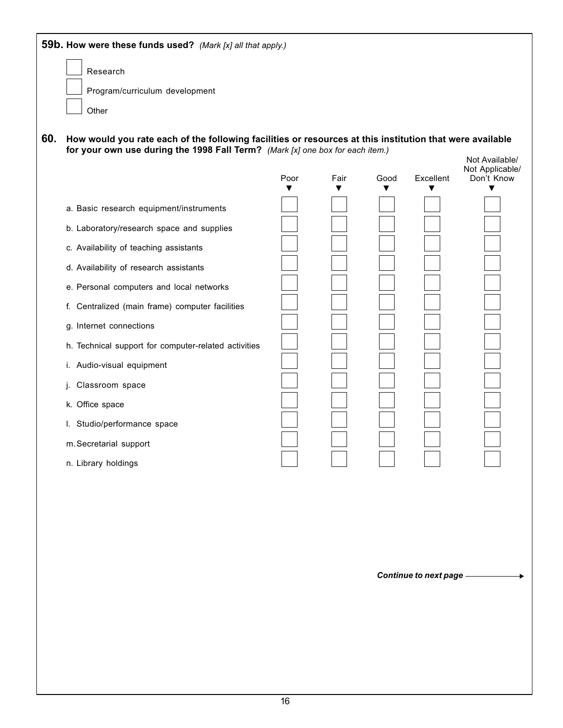|     | Research                                                                                                 |      |      |      |           |                               |
|-----|----------------------------------------------------------------------------------------------------------|------|------|------|-----------|-------------------------------|
|     | Program/curriculum development                                                                           |      |      |      |           |                               |
|     | Other                                                                                                    |      |      |      |           |                               |
| 60. | How would you rate each of the following facilities or resources at this institution that were available |      |      |      |           |                               |
|     | for your own use during the 1998 Fall Term? (Mark [x] one box for each item.)                            |      |      |      |           | Not Available/                |
|     |                                                                                                          | Poor | Fair | Good | Excellent | Not Applicable/<br>Don't Know |
|     | a. Basic research equipment/instruments                                                                  |      |      |      |           |                               |
|     | b. Laboratory/research space and supplies                                                                |      |      |      |           |                               |
|     | c. Availability of teaching assistants                                                                   |      |      |      |           |                               |
|     | d. Availability of research assistants                                                                   |      |      |      |           |                               |
|     | e. Personal computers and local networks                                                                 |      |      |      |           |                               |
|     | f. Centralized (main frame) computer facilities                                                          |      |      |      |           |                               |
|     | g. Internet connections                                                                                  |      |      |      |           |                               |
|     | h. Technical support for computer-related activities                                                     |      |      |      |           |                               |
|     | i. Audio-visual equipment                                                                                |      |      |      |           |                               |
|     | j. Classroom space                                                                                       |      |      |      |           |                               |
|     | k. Office space                                                                                          |      |      |      |           |                               |
|     | I. Studio/performance space                                                                              |      |      |      |           |                               |
|     | m. Secretarial support                                                                                   |      |      |      |           |                               |
|     |                                                                                                          |      |      |      |           |                               |

*Continue to next page*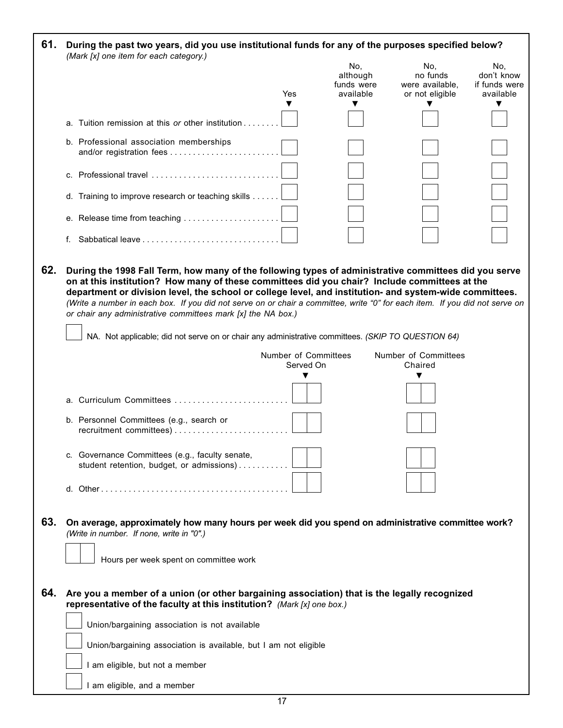| 61. | During the past two years, did you use institutional funds for any of the purposes specified below?<br>(Mark [x] one item for each category.)                                                                                                                                                                                                                                                                                                                                                                                                                                                                          |                      |                                            |                                                       |                                                 |
|-----|------------------------------------------------------------------------------------------------------------------------------------------------------------------------------------------------------------------------------------------------------------------------------------------------------------------------------------------------------------------------------------------------------------------------------------------------------------------------------------------------------------------------------------------------------------------------------------------------------------------------|----------------------|--------------------------------------------|-------------------------------------------------------|-------------------------------------------------|
|     |                                                                                                                                                                                                                                                                                                                                                                                                                                                                                                                                                                                                                        | Yes                  | No,<br>although<br>funds were<br>available | No.<br>no funds<br>were available,<br>or not eligible | No.<br>don't know<br>if funds were<br>available |
|     |                                                                                                                                                                                                                                                                                                                                                                                                                                                                                                                                                                                                                        |                      | ▼                                          |                                                       |                                                 |
|     | a. Tuition remission at this or other institution                                                                                                                                                                                                                                                                                                                                                                                                                                                                                                                                                                      |                      |                                            |                                                       |                                                 |
|     | b. Professional association memberships                                                                                                                                                                                                                                                                                                                                                                                                                                                                                                                                                                                |                      |                                            |                                                       |                                                 |
|     | c. Professional travel                                                                                                                                                                                                                                                                                                                                                                                                                                                                                                                                                                                                 |                      |                                            |                                                       |                                                 |
|     | d. Training to improve research or teaching skills                                                                                                                                                                                                                                                                                                                                                                                                                                                                                                                                                                     |                      |                                            |                                                       |                                                 |
|     | e. Release time from teaching                                                                                                                                                                                                                                                                                                                                                                                                                                                                                                                                                                                          |                      |                                            |                                                       |                                                 |
|     |                                                                                                                                                                                                                                                                                                                                                                                                                                                                                                                                                                                                                        |                      |                                            |                                                       |                                                 |
| 62. | During the 1998 Fall Term, how many of the following types of administrative committees did you serve<br>on at this institution? How many of these committees did you chair? Include committees at the<br>department or division level, the school or college level, and institution- and system-wide committees.<br>(Write a number in each box. If you did not serve on or chair a committee, write "0" for each item. If you did not serve on<br>or chair any administrative committees mark [x] the NA box.)<br>NA. Not applicable; did not serve on or chair any administrative committees. (SKIP TO QUESTION 64) |                      |                                            |                                                       |                                                 |
|     |                                                                                                                                                                                                                                                                                                                                                                                                                                                                                                                                                                                                                        | Number of Committees |                                            | Number of Committees                                  |                                                 |
|     |                                                                                                                                                                                                                                                                                                                                                                                                                                                                                                                                                                                                                        | Served On<br>▼       |                                            | Chaired<br>▼                                          |                                                 |
|     | a. Curriculum Committees                                                                                                                                                                                                                                                                                                                                                                                                                                                                                                                                                                                               |                      |                                            |                                                       |                                                 |
|     | b. Personnel Committees (e.g., search or                                                                                                                                                                                                                                                                                                                                                                                                                                                                                                                                                                               |                      |                                            |                                                       |                                                 |
|     | c. Governance Committees (e.g., faculty senate,<br>student retention, budget, or admissions)                                                                                                                                                                                                                                                                                                                                                                                                                                                                                                                           |                      |                                            |                                                       |                                                 |
|     |                                                                                                                                                                                                                                                                                                                                                                                                                                                                                                                                                                                                                        |                      |                                            |                                                       |                                                 |
| 63. | On average, approximately how many hours per week did you spend on administrative committee work?<br>(Write in number. If none, write in "0".)<br>Hours per week spent on committee work                                                                                                                                                                                                                                                                                                                                                                                                                               |                      |                                            |                                                       |                                                 |
|     |                                                                                                                                                                                                                                                                                                                                                                                                                                                                                                                                                                                                                        |                      |                                            |                                                       |                                                 |
| 64. | Are you a member of a union (or other bargaining association) that is the legally recognized<br>representative of the faculty at this institution? (Mark [x] one box.)                                                                                                                                                                                                                                                                                                                                                                                                                                                 |                      |                                            |                                                       |                                                 |
|     | Union/bargaining association is not available                                                                                                                                                                                                                                                                                                                                                                                                                                                                                                                                                                          |                      |                                            |                                                       |                                                 |
|     | Union/bargaining association is available, but I am not eligible                                                                                                                                                                                                                                                                                                                                                                                                                                                                                                                                                       |                      |                                            |                                                       |                                                 |
|     | I am eligible, but not a member                                                                                                                                                                                                                                                                                                                                                                                                                                                                                                                                                                                        |                      |                                            |                                                       |                                                 |
|     | I am eligible, and a member                                                                                                                                                                                                                                                                                                                                                                                                                                                                                                                                                                                            |                      |                                            |                                                       |                                                 |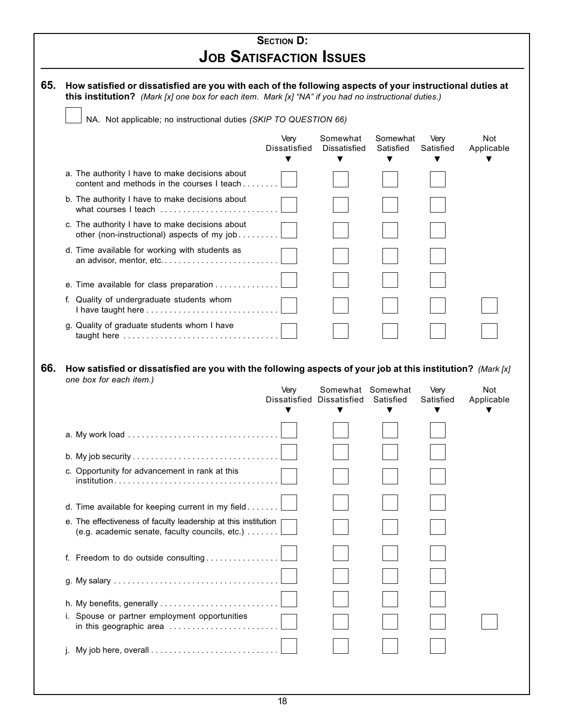| <b>SECTION D:</b>              |  |
|--------------------------------|--|
| <b>JOB SATISFACTION ISSUES</b> |  |

|     | NA. Not applicable; no instructional duties (SKIP TO QUESTION 66)                                                                      |                                   |                                      |                            |                        |                          |
|-----|----------------------------------------------------------------------------------------------------------------------------------------|-----------------------------------|--------------------------------------|----------------------------|------------------------|--------------------------|
|     |                                                                                                                                        | Very<br>Dissatisfied<br>▼         | Somewhat<br><b>Dissatisfied</b><br>▼ | Somewhat<br>Satisfied<br>▼ | Very<br>Satisfied<br>▼ | <b>Not</b><br>Applicable |
|     | a. The authority I have to make decisions about<br>content and methods in the courses I teach $\ldots$ ,                               |                                   |                                      |                            |                        |                          |
|     | b. The authority I have to make decisions about<br>what courses I teach                                                                |                                   |                                      |                            |                        |                          |
|     | c. The authority I have to make decisions about<br>other (non-instructional) aspects of my job                                         |                                   |                                      |                            |                        |                          |
|     | d. Time available for working with students as<br>an advisor, mentor, etc                                                              |                                   |                                      |                            |                        |                          |
|     | e. Time available for class preparation                                                                                                |                                   |                                      |                            |                        |                          |
|     | f. Quality of undergraduate students whom<br>I have taught here                                                                        |                                   |                                      |                            |                        |                          |
|     | g. Quality of graduate students whom I have<br>taught here $\ldots \ldots \ldots \ldots \ldots \ldots \ldots \ldots \ldots \ldots$     |                                   |                                      |                            |                        |                          |
| 66. | How satisfied or dissatisfied are you with the following aspects of your job at this institution? (Mark [x]<br>one box for each item.) | Very<br>Dissatisfied Dissatisfied | Somewhat Somewhat                    | Satisfied                  | Very<br>Satisfied      | Not                      |
|     |                                                                                                                                        | ▼                                 | ▼                                    | ▼                          | ▼                      | ▼                        |
|     |                                                                                                                                        |                                   |                                      |                            |                        |                          |
|     |                                                                                                                                        |                                   |                                      |                            |                        |                          |
|     | c. Opportunity for advancement in rank at this                                                                                         |                                   |                                      |                            |                        |                          |
|     | d. Time available for keeping current in my field                                                                                      |                                   |                                      |                            |                        |                          |
|     | e. The effectiveness of faculty leadership at this institution<br>(e.g. academic senate, faculty councils, etc.)                       |                                   |                                      |                            |                        | Applicable               |
|     | f. Freedom to do outside consulting                                                                                                    |                                   |                                      |                            |                        |                          |
|     |                                                                                                                                        |                                   |                                      |                            |                        |                          |
|     |                                                                                                                                        |                                   |                                      |                            |                        |                          |
|     | i. Spouse or partner employment opportunities                                                                                          |                                   |                                      |                            |                        |                          |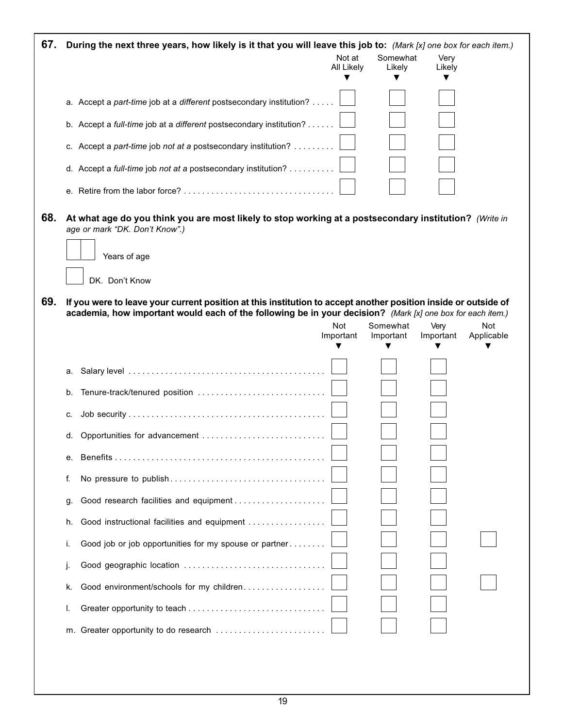| 67. | During the next three years, how likely is it that you will leave this job to: (Mark [x] one box for each item.)                                                                                                             |                         |                       |                   |                          |
|-----|------------------------------------------------------------------------------------------------------------------------------------------------------------------------------------------------------------------------------|-------------------------|-----------------------|-------------------|--------------------------|
|     |                                                                                                                                                                                                                              | Not at<br>All Likely    | Somewhat<br>Likely    | Very<br>Likely    |                          |
|     |                                                                                                                                                                                                                              |                         |                       |                   |                          |
|     | a. Accept a part-time job at a different postsecondary institution?                                                                                                                                                          |                         |                       |                   |                          |
|     | b. Accept a full-time job at a different postsecondary institution?                                                                                                                                                          |                         |                       |                   |                          |
|     | c. Accept a part-time job not at a postsecondary institution?                                                                                                                                                                |                         |                       |                   |                          |
|     | d. Accept a full-time job not at a postsecondary institution?                                                                                                                                                                |                         |                       |                   |                          |
|     |                                                                                                                                                                                                                              |                         |                       |                   |                          |
| 68. | At what age do you think you are most likely to stop working at a postsecondary institution? (Write in<br>age or mark "DK. Don't Know".)<br>Years of age                                                                     |                         |                       |                   |                          |
|     |                                                                                                                                                                                                                              |                         |                       |                   |                          |
|     | DK. Don't Know                                                                                                                                                                                                               |                         |                       |                   |                          |
| 69. | If you were to leave your current position at this institution to accept another position inside or outside of<br>academia, how important would each of the following be in your decision? (Mark [x] one box for each item.) |                         |                       |                   |                          |
|     |                                                                                                                                                                                                                              | <b>Not</b><br>Important | Somewhat<br>Important | Very<br>Important | <b>Not</b><br>Applicable |
|     |                                                                                                                                                                                                                              |                         |                       |                   |                          |
|     | а.                                                                                                                                                                                                                           |                         |                       |                   |                          |
|     | Tenure-track/tenured position<br>b.                                                                                                                                                                                          |                         |                       |                   |                          |
|     | c.                                                                                                                                                                                                                           |                         |                       |                   |                          |
|     |                                                                                                                                                                                                                              |                         |                       |                   |                          |
|     | е.                                                                                                                                                                                                                           |                         |                       |                   |                          |
|     | f.                                                                                                                                                                                                                           |                         |                       |                   |                          |
|     | Good research facilities and equipment<br>g.                                                                                                                                                                                 |                         |                       |                   |                          |
|     | Good instructional facilities and equipment<br>h.                                                                                                                                                                            |                         |                       |                   |                          |
|     | Good job or job opportunities for my spouse or partner<br>ι.                                                                                                                                                                 |                         |                       |                   |                          |
|     | J.                                                                                                                                                                                                                           |                         |                       |                   |                          |
|     | Good environment/schools for my children<br>k.                                                                                                                                                                               |                         |                       |                   |                          |
|     | ı.                                                                                                                                                                                                                           |                         |                       |                   |                          |
|     |                                                                                                                                                                                                                              |                         |                       |                   |                          |
|     |                                                                                                                                                                                                                              |                         |                       |                   |                          |
|     |                                                                                                                                                                                                                              |                         |                       |                   |                          |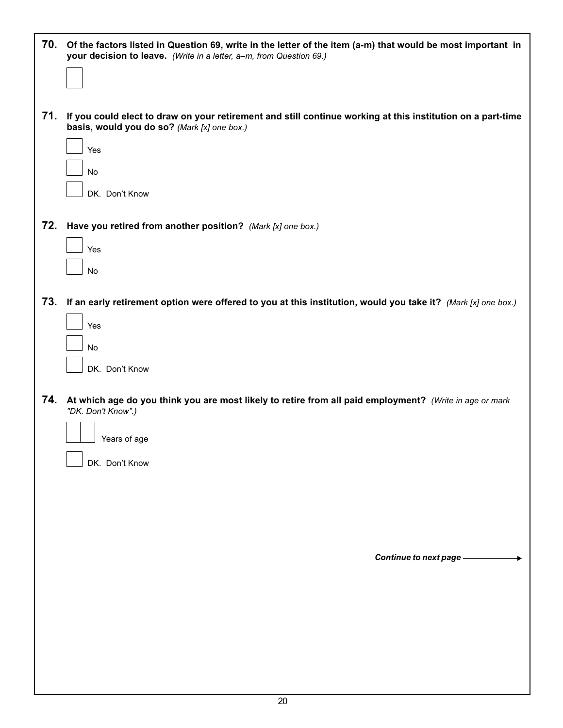| 70. | Of the factors listed in Question 69, write in the letter of the item (a-m) that would be most important in<br>your decision to leave. (Write in a letter, a-m, from Question 69.) |
|-----|------------------------------------------------------------------------------------------------------------------------------------------------------------------------------------|
|     |                                                                                                                                                                                    |
| 71. | If you could elect to draw on your retirement and still continue working at this institution on a part-time<br>basis, would you do so? (Mark [x] one box.)                         |
|     | Yes                                                                                                                                                                                |
|     | No<br>DK. Don't Know                                                                                                                                                               |
| 72. | Have you retired from another position? (Mark [x] one box.)                                                                                                                        |
|     | Yes                                                                                                                                                                                |
| 73. | No<br>If an early retirement option were offered to you at this institution, would you take it? (Mark [x] one box.)                                                                |
|     | Yes                                                                                                                                                                                |
|     | No                                                                                                                                                                                 |
|     | DK. Don't Know                                                                                                                                                                     |
| 74. | At which age do you think you are most likely to retire from all paid employment? (Write in age or mark<br>"DK. Don't Know".)                                                      |
|     | Years of age<br>DK. Don't Know                                                                                                                                                     |
|     |                                                                                                                                                                                    |
|     |                                                                                                                                                                                    |
|     | Continue to next page -                                                                                                                                                            |
|     |                                                                                                                                                                                    |
|     |                                                                                                                                                                                    |
|     |                                                                                                                                                                                    |
|     |                                                                                                                                                                                    |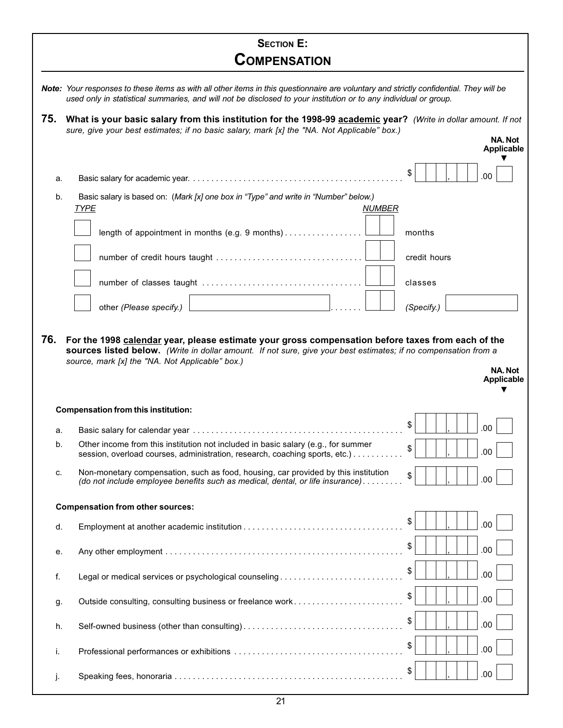|     | <b>SECTION E:</b><br><b>COMPENSATION</b>                                                                                                                                                                                                                    |                      |  |  |  |  |
|-----|-------------------------------------------------------------------------------------------------------------------------------------------------------------------------------------------------------------------------------------------------------------|----------------------|--|--|--|--|
|     |                                                                                                                                                                                                                                                             |                      |  |  |  |  |
|     | Note: Your responses to these items as with all other items in this questionnaire are voluntary and strictly confidential. They will be<br>used only in statistical summaries, and will not be disclosed to your institution or to any individual or group. |                      |  |  |  |  |
| 75. | What is your basic salary from this institution for the 1998-99 academic year? (Write in dollar amount. If not<br>sure, give your best estimates; if no basic salary, mark [x] the "NA. Not Applicable" box.)<br>NA. Not<br><b>Applicable</b>               |                      |  |  |  |  |
| a.  |                                                                                                                                                                                                                                                             | \$<br>.00            |  |  |  |  |
| b.  | Basic salary is based on: (Mark [x] one box in "Type" and write in "Number" below.)                                                                                                                                                                         |                      |  |  |  |  |
|     | <b>TYPE</b><br><b>NUMBER</b>                                                                                                                                                                                                                                |                      |  |  |  |  |
|     | length of appointment in months (e.g. 9 months)                                                                                                                                                                                                             | months               |  |  |  |  |
|     |                                                                                                                                                                                                                                                             | credit hours         |  |  |  |  |
|     |                                                                                                                                                                                                                                                             | classes              |  |  |  |  |
|     | and the control of the control of the control of<br>other (Please specify.)                                                                                                                                                                                 | (Specify.)           |  |  |  |  |
|     | <b>Compensation from this institution:</b>                                                                                                                                                                                                                  | Applicable           |  |  |  |  |
| а.  |                                                                                                                                                                                                                                                             | \$<br>.00            |  |  |  |  |
| b.  | Other income from this institution not included in basic salary (e.g., for summer                                                                                                                                                                           |                      |  |  |  |  |
| c.  | session, overload courses, administration, research, coaching sports, etc.)                                                                                                                                                                                 | \$<br>.00            |  |  |  |  |
|     | Non-monetary compensation, such as food, housing, car provided by this institution<br>(do not include employee benefits such as medical, dental, or life insurance)                                                                                         | $\mathfrak s$<br>.00 |  |  |  |  |
| d.  | <b>Compensation from other sources:</b>                                                                                                                                                                                                                     |                      |  |  |  |  |
| е.  |                                                                                                                                                                                                                                                             | \$<br>.00            |  |  |  |  |
|     |                                                                                                                                                                                                                                                             | \$<br>.00            |  |  |  |  |
| f.  | Legal or medical services or psychological counseling                                                                                                                                                                                                       | \$<br>.00            |  |  |  |  |
| g.  | Outside consulting, consulting business or freelance work                                                                                                                                                                                                   | \$<br>.00            |  |  |  |  |
| h.  |                                                                                                                                                                                                                                                             | \$<br>.00            |  |  |  |  |
| i.  |                                                                                                                                                                                                                                                             | \$<br>.00            |  |  |  |  |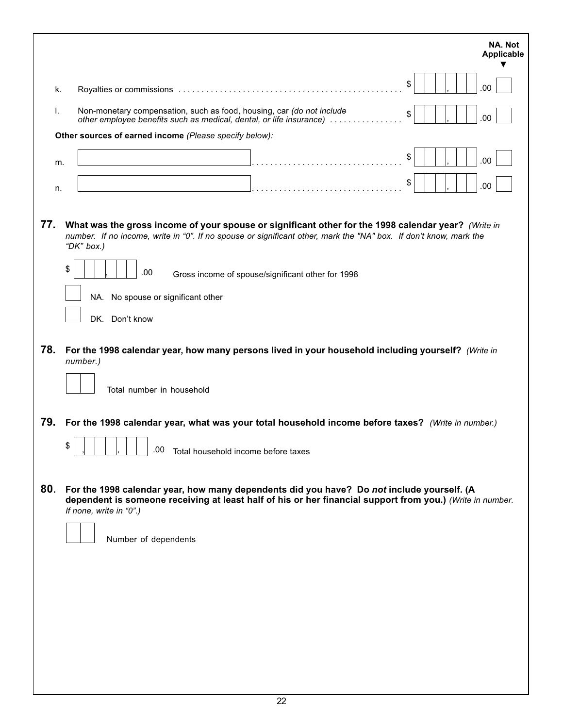| k.<br>Non-monetary compensation, such as food, housing, car (do not include<br>Τ.<br>other employee benefits such as medical, dental, or life insurance)<br>Other sources of earned income (Please specify below):<br>m.<br>n.<br>77.<br>What was the gross income of your spouse or significant other for the 1998 calendar year? (Write in<br>number. If no income, write in "0". If no spouse or significant other, mark the "NA" box. If don't know, mark the<br>"DK" box.)<br>\$<br>.00<br>NA. No spouse or significant other<br>DK. Don't know<br>78.<br>For the 1998 calendar year, how many persons lived in your household including yourself? (Write in<br>number.)<br>Total number in household<br>79.<br>For the 1998 calendar year, what was your total household income before taxes? (Write in number.)<br>\$<br>.00<br>80.<br>For the 1998 calendar year, how many dependents did you have? Do not include yourself. (A | Gross income of spouse/significant other for 1998 |  | \$<br>\$<br>\$<br>\$ |  | .00<br>.00<br>.00<br>.00 |
|-----------------------------------------------------------------------------------------------------------------------------------------------------------------------------------------------------------------------------------------------------------------------------------------------------------------------------------------------------------------------------------------------------------------------------------------------------------------------------------------------------------------------------------------------------------------------------------------------------------------------------------------------------------------------------------------------------------------------------------------------------------------------------------------------------------------------------------------------------------------------------------------------------------------------------------------|---------------------------------------------------|--|----------------------|--|--------------------------|
|                                                                                                                                                                                                                                                                                                                                                                                                                                                                                                                                                                                                                                                                                                                                                                                                                                                                                                                                         |                                                   |  |                      |  |                          |
|                                                                                                                                                                                                                                                                                                                                                                                                                                                                                                                                                                                                                                                                                                                                                                                                                                                                                                                                         |                                                   |  |                      |  |                          |
|                                                                                                                                                                                                                                                                                                                                                                                                                                                                                                                                                                                                                                                                                                                                                                                                                                                                                                                                         |                                                   |  |                      |  |                          |
|                                                                                                                                                                                                                                                                                                                                                                                                                                                                                                                                                                                                                                                                                                                                                                                                                                                                                                                                         |                                                   |  |                      |  |                          |
|                                                                                                                                                                                                                                                                                                                                                                                                                                                                                                                                                                                                                                                                                                                                                                                                                                                                                                                                         |                                                   |  |                      |  |                          |
|                                                                                                                                                                                                                                                                                                                                                                                                                                                                                                                                                                                                                                                                                                                                                                                                                                                                                                                                         |                                                   |  |                      |  |                          |
|                                                                                                                                                                                                                                                                                                                                                                                                                                                                                                                                                                                                                                                                                                                                                                                                                                                                                                                                         | Total household income before taxes               |  |                      |  |                          |
| dependent is someone receiving at least half of his or her financial support from you.) (Write in number.<br>If none, write in "0".)<br>Number of dependents                                                                                                                                                                                                                                                                                                                                                                                                                                                                                                                                                                                                                                                                                                                                                                            |                                                   |  |                      |  |                          |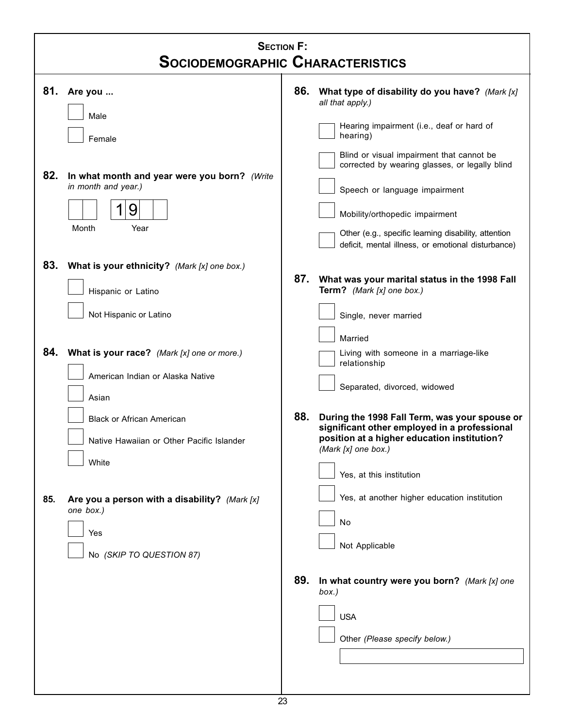|            | <b>SECTION F:</b><br><b>SOCIODEMOGRAPHIC CHARACTERISTICS</b>                                                                                                             |     |                                                                                                                                                                                                                                                               |  |  |  |  |
|------------|--------------------------------------------------------------------------------------------------------------------------------------------------------------------------|-----|---------------------------------------------------------------------------------------------------------------------------------------------------------------------------------------------------------------------------------------------------------------|--|--|--|--|
| 81.<br>82. | Are you<br>Male<br>Female<br>In what month and year were you born? (Write<br>in month and year.)<br>9                                                                    | 86. | What type of disability do you have? (Mark [x]<br>all that apply.)<br>Hearing impairment (i.e., deaf or hard of<br>hearing)<br>Blind or visual impairment that cannot be<br>corrected by wearing glasses, or legally blind<br>Speech or language impairment   |  |  |  |  |
| 83.        | Month<br>Year<br>What is your ethnicity? (Mark [x] one box.)                                                                                                             | 87. | Mobility/orthopedic impairment<br>Other (e.g., specific learning disability, attention<br>deficit, mental illness, or emotional disturbance)<br>What was your marital status in the 1998 Fall                                                                 |  |  |  |  |
|            | Hispanic or Latino<br>Not Hispanic or Latino                                                                                                                             |     | Term? (Mark [x] one box.)<br>Single, never married<br>Married                                                                                                                                                                                                 |  |  |  |  |
| 84.        | What is your race? (Mark [x] one or more.)<br>American Indian or Alaska Native<br>Asian<br><b>Black or African American</b><br>Native Hawaiian or Other Pacific Islander | 88. | Living with someone in a marriage-like<br>relationship<br>Separated, divorced, widowed<br>During the 1998 Fall Term, was your spouse or<br>significant other employed in a professional<br>position at a higher education institution?<br>(Mark [x] one box.) |  |  |  |  |
| 85.        | White<br>Are you a person with a disability? (Mark [x]<br>one box.)<br>Yes<br>No (SKIP TO QUESTION 87)                                                                   |     | Yes, at this institution<br>Yes, at another higher education institution<br>No<br>Not Applicable                                                                                                                                                              |  |  |  |  |
|            |                                                                                                                                                                          | 89. | In what country were you born? (Mark [x] one<br>box.)<br><b>USA</b><br>Other (Please specify below.)                                                                                                                                                          |  |  |  |  |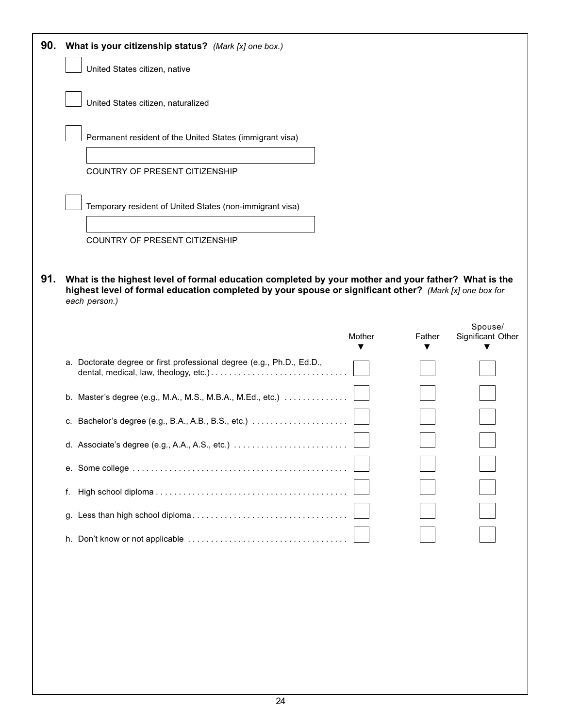| 90. | What is your citizenship status? (Mark [x] one box.)                                                                                                                                                                           |        |        |                   |
|-----|--------------------------------------------------------------------------------------------------------------------------------------------------------------------------------------------------------------------------------|--------|--------|-------------------|
|     | United States citizen, native                                                                                                                                                                                                  |        |        |                   |
|     | United States citizen, naturalized                                                                                                                                                                                             |        |        |                   |
|     | Permanent resident of the United States (immigrant visa)                                                                                                                                                                       |        |        |                   |
|     | COUNTRY OF PRESENT CITIZENSHIP                                                                                                                                                                                                 |        |        |                   |
|     | Temporary resident of United States (non-immigrant visa)                                                                                                                                                                       |        |        |                   |
|     | COUNTRY OF PRESENT CITIZENSHIP                                                                                                                                                                                                 |        |        |                   |
|     |                                                                                                                                                                                                                                |        |        |                   |
| 91. | What is the highest level of formal education completed by your mother and your father? What is the<br>highest level of formal education completed by your spouse or significant other? (Mark [x] one box for<br>each person.) |        |        |                   |
|     |                                                                                                                                                                                                                                |        |        | Spouse/           |
|     |                                                                                                                                                                                                                                | Mother | Father | Significant Other |
|     |                                                                                                                                                                                                                                |        |        |                   |
|     | a. Doctorate degree or first professional degree (e.g., Ph.D., Ed.D.,                                                                                                                                                          |        |        |                   |
|     | b. Master's degree (e.g., M.A., M.S., M.B.A., M.Ed., etc.)                                                                                                                                                                     |        |        |                   |
|     |                                                                                                                                                                                                                                |        |        |                   |
|     |                                                                                                                                                                                                                                |        |        |                   |
|     |                                                                                                                                                                                                                                |        |        |                   |
|     | f.                                                                                                                                                                                                                             |        |        |                   |
|     | g.                                                                                                                                                                                                                             |        |        |                   |
|     |                                                                                                                                                                                                                                |        |        |                   |
|     |                                                                                                                                                                                                                                |        |        |                   |
|     |                                                                                                                                                                                                                                |        |        |                   |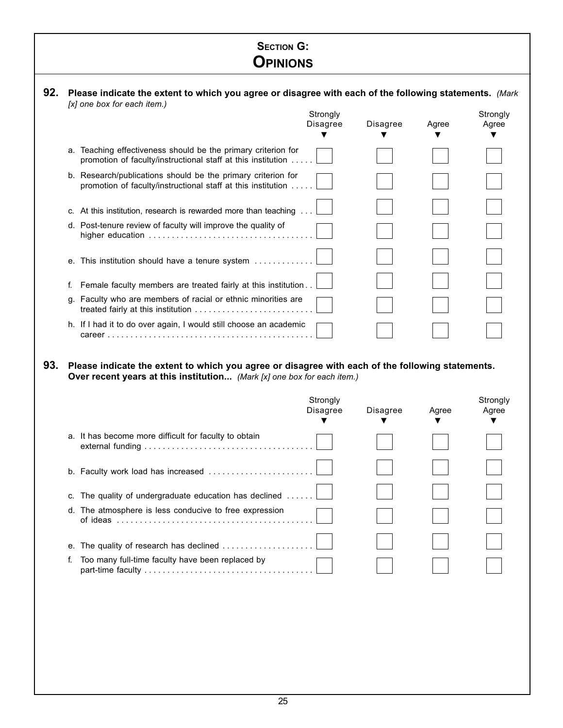# **SECTION G: OPINIONS**

|    |                                                                                                                              | Strongly<br>Disagree | Disagree | Agree | Strongly<br>Agree |
|----|------------------------------------------------------------------------------------------------------------------------------|----------------------|----------|-------|-------------------|
| а. | Teaching effectiveness should be the primary criterion for<br>promotion of faculty/instructional staff at this institution   |                      |          |       |                   |
|    | b. Research/publications should be the primary criterion for<br>promotion of faculty/instructional staff at this institution |                      |          |       |                   |
|    | c. At this institution, research is rewarded more than teaching                                                              |                      |          |       |                   |
|    | d. Post-tenure review of faculty will improve the quality of                                                                 |                      |          |       |                   |
|    | e. This institution should have a tenure system                                                                              |                      |          |       |                   |
|    | Female faculty members are treated fairly at this institution.                                                               |                      |          |       |                   |
| α. | Faculty who are members of racial or ethnic minorities are                                                                   |                      |          |       |                   |
|    | h. If I had it to do over again, I would still choose an academic                                                            |                      |          |       |                   |

**93. Please indicate the extent to which you agree or disagree with each of the following statements. Over recent years at this institution...** (Mark [x] one box for each item.)

|                                                                                                                                                          | Strongly<br><b>Disagree</b> | Disagree | Agree | Strongly<br>Agree |
|----------------------------------------------------------------------------------------------------------------------------------------------------------|-----------------------------|----------|-------|-------------------|
| a. It has become more difficult for faculty to obtain                                                                                                    |                             |          |       |                   |
|                                                                                                                                                          |                             |          |       |                   |
| c. The quality of undergraduate education has declined                                                                                                   |                             |          |       |                   |
| d. The atmosphere is less conducive to free expression<br>of ideas $\ldots \ldots \ldots \ldots \ldots \ldots \ldots \ldots \ldots \ldots \ldots \ldots$ |                             |          |       |                   |
| е.                                                                                                                                                       |                             |          |       |                   |
| Too many full-time faculty have been replaced by                                                                                                         |                             |          |       |                   |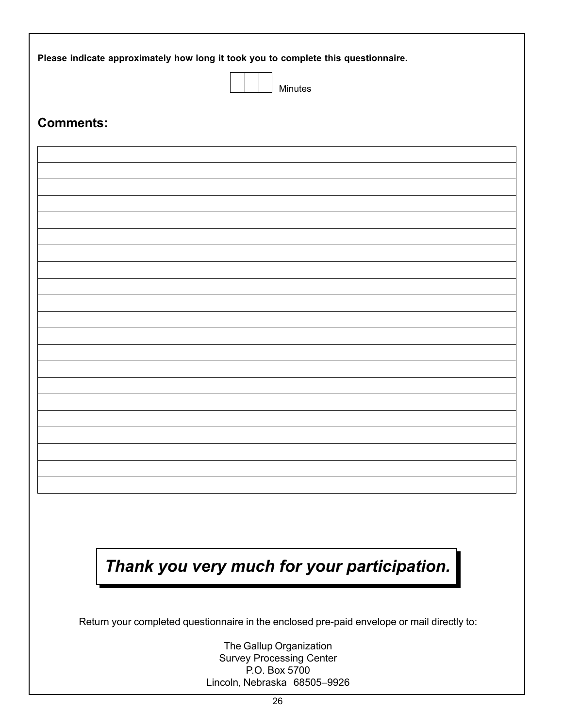| Please indicate approximately how long it took you to complete this questionnaire.         |
|--------------------------------------------------------------------------------------------|
| Minutes                                                                                    |
|                                                                                            |
| <b>Comments:</b>                                                                           |
|                                                                                            |
|                                                                                            |
|                                                                                            |
|                                                                                            |
|                                                                                            |
|                                                                                            |
|                                                                                            |
|                                                                                            |
|                                                                                            |
|                                                                                            |
|                                                                                            |
|                                                                                            |
|                                                                                            |
|                                                                                            |
|                                                                                            |
| Thank you very much for your participation.                                                |
| Return your completed questionnaire in the enclosed pre-paid envelope or mail directly to: |
| The Gallup Organization<br><b>Survey Processing Center</b><br>P.O. Box 5700                |
| Lincoln, Nebraska 68505-9926                                                               |